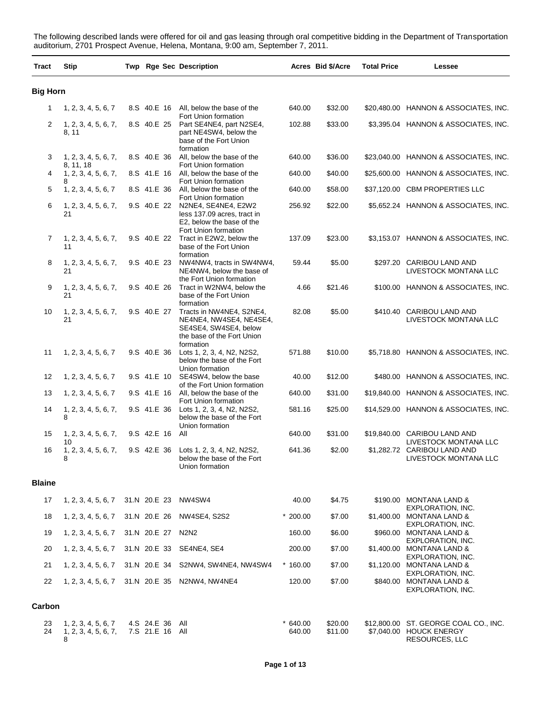The following described lands were offered for oil and gas leasing through oral competitive bidding in the Department of Transportation auditorium, 2701 Prospect Avenue, Helena, Montana, 9:00 am, September 7, 2011.

| Tract           | <b>Stip</b>                                      |              |                                    | Twp Rge Sec Description                                                                                                 |                     | Acres Bid \$/Acre  | <b>Total Price</b> | Lessee                                                                             |
|-----------------|--------------------------------------------------|--------------|------------------------------------|-------------------------------------------------------------------------------------------------------------------------|---------------------|--------------------|--------------------|------------------------------------------------------------------------------------|
| <b>Big Horn</b> |                                                  |              |                                    |                                                                                                                         |                     |                    |                    |                                                                                    |
| $\mathbf{1}$    | 1, 2, 3, 4, 5, 6, 7                              |              |                                    | 8.S 40.E 16 All, below the base of the                                                                                  | 640.00              | \$32.00            |                    | \$20,480.00 HANNON & ASSOCIATES, INC.                                              |
| 2               | 1, 2, 3, 4, 5, 6, 7,<br>8, 11                    |              |                                    | Fort Union formation<br>8.S 40.E 25 Part SE4NE4, part N2SE4,<br>part NE4SW4, below the<br>base of the Fort Union        | 102.88              | \$33.00            |                    | \$3,395.04 HANNON & ASSOCIATES, INC.                                               |
| 3               | 1, 2, 3, 4, 5, 6, 7,                             |              |                                    | formation<br>8.S 40.E 36 All, below the base of the                                                                     | 640.00              | \$36.00            |                    | \$23,040.00 HANNON & ASSOCIATES, INC.                                              |
| 4               | 8, 11, 18<br>1, 2, 3, 4, 5, 6, 7,                |              |                                    | Fort Union formation<br>8.S 41.E 16 All, below the base of the                                                          | 640.00              | \$40.00            |                    | \$25,600.00 HANNON & ASSOCIATES, INC.                                              |
| 5               | 8<br>1, 2, 3, 4, 5, 6, 7                         |              |                                    | Fort Union formation<br>8.S 41.E 36 All, below the base of the                                                          | 640.00              | \$58.00            |                    | \$37,120.00 CBM PROPERTIES LLC                                                     |
| 6               | 1, 2, 3, 4, 5, 6, 7,<br>21                       |              |                                    | Fort Union formation<br>9.S 40.E 22 N2NE4, SE4NE4, E2W2<br>less 137.09 acres, tract in<br>E2, below the base of the     | 256.92              | \$22.00            |                    | \$5,652.24 HANNON & ASSOCIATES, INC.                                               |
| 7               | 1, 2, 3, 4, 5, 6, 7,<br>11                       |              |                                    | Fort Union formation<br>9.S 40.E 22 Tract in E2W2, below the<br>base of the Fort Union                                  | 137.09              | \$23.00            |                    | \$3,153.07 HANNON & ASSOCIATES, INC.                                               |
| 8               | 1, 2, 3, 4, 5, 6, 7,<br>21                       |              |                                    | formation<br>9.S 40.E 23 NW4NW4, tracts in SW4NW4,<br>NE4NW4, below the base of                                         | 59.44               | \$5.00             |                    | \$297.20 CARIBOU LAND AND<br>LIVESTOCK MONTANA LLC                                 |
| 9               | 1, 2, 3, 4, 5, 6, 7,<br>21                       |              | 9.S 40.E 26                        | the Fort Union formation<br>Tract in W2NW4, below the<br>base of the Fort Union                                         | 4.66                | \$21.46            |                    | \$100.00 HANNON & ASSOCIATES, INC.                                                 |
| 10              | 1, 2, 3, 4, 5, 6, 7,<br>21                       |              | 9.S 40.E 27                        | formation<br>Tracts in NW4NE4, S2NE4,<br>NE4NE4, NW4SE4, NE4SE4,<br>SE4SE4, SW4SE4, below<br>the base of the Fort Union | 82.08               | \$5.00             |                    | \$410.40 CARIBOU LAND AND<br>LIVESTOCK MONTANA LLC                                 |
| 11              | 1, 2, 3, 4, 5, 6, 7                              |              | 9.S 40.E 36                        | formation<br>Lots 1, 2, 3, 4, N2, N2S2,<br>below the base of the Fort                                                   | 571.88              | \$10.00            |                    | \$5,718.80 HANNON & ASSOCIATES, INC.                                               |
| 12              | 1, 2, 3, 4, 5, 6, 7                              |              |                                    | Union formation<br>9.S 41.E 10 SE4SW4, below the base                                                                   | 40.00               | \$12.00            |                    | \$480.00 HANNON & ASSOCIATES, INC.                                                 |
| 13              | 1, 2, 3, 4, 5, 6, 7                              |              |                                    | of the Fort Union formation<br>9.S 41.E 16 All, below the base of the                                                   | 640.00              | \$31.00            |                    | \$19,840.00 HANNON & ASSOCIATES, INC.                                              |
| 14              | 1, 2, 3, 4, 5, 6, 7,<br>8                        |              |                                    | Fort Union formation<br>9.S 41.E 36 Lots 1, 2, 3, 4, N2, N2S2,<br>below the base of the Fort                            | 581.16              | \$25.00            |                    | \$14,529.00 HANNON & ASSOCIATES, INC.                                              |
| 15              | 1, 2, 3, 4, 5, 6, 7,                             |              | 9.S 42.E 16 All                    | Union formation                                                                                                         | 640.00              | \$31.00            |                    | \$19,840.00 CARIBOU LAND AND                                                       |
| 16              | 10<br>1, 2, 3, 4, 5, 6, 7,<br>8                  |              |                                    | 9.S 42.E 36 Lots 1, 2, 3, 4, N2, N2S2,<br>below the base of the Fort<br>Union formation                                 | 641.36              | \$2.00             |                    | LIVESTOCK MONTANA LLC<br>\$1,282.72 CARIBOU LAND AND<br>LIVESTOCK MONTANA LLC      |
| <b>Blaine</b>   |                                                  |              |                                    |                                                                                                                         |                     |                    |                    |                                                                                    |
| 17              | 1, 2, 3, 4, 5, 6, 7                              | 31.N 20.E 23 |                                    | NW4SW4                                                                                                                  | 40.00               | \$4.75             |                    | \$190.00 MONTANA LAND &                                                            |
| 18              | 1, 2, 3, 4, 5, 6, 7                              | 31.N 20.E 26 |                                    | <b>NW4SE4, S2S2</b>                                                                                                     | $*200.00$           | \$7.00             |                    | EXPLORATION, INC.<br>\$1,400.00 MONTANA LAND &                                     |
| 19              | 1, 2, 3, 4, 5, 6, 7                              |              | 31.N 20.E 27                       | N2N2                                                                                                                    | 160.00              | \$6.00             |                    | EXPLORATION, INC.<br>\$960.00 MONTANA LAND &                                       |
| 20              | 1, 2, 3, 4, 5, 6, 7                              |              | 31.N 20.E 33                       | SE4NE4, SE4                                                                                                             | 200.00              | \$7.00             |                    | EXPLORATION, INC.<br>\$1,400.00 MONTANA LAND &                                     |
| 21              | 1, 2, 3, 4, 5, 6, 7                              |              | 31.N 20.E 34                       | S2NW4, SW4NE4, NW4SW4                                                                                                   | $*160.00$           | \$7.00             |                    | EXPLORATION, INC.<br>\$1,120.00 MONTANA LAND &                                     |
| 22              | 1, 2, 3, 4, 5, 6, 7                              |              |                                    | 31.N 20.E 35 N2NW4, NW4NE4                                                                                              | 120.00              | \$7.00             |                    | EXPLORATION, INC.<br>\$840.00 MONTANA LAND &<br>EXPLORATION, INC.                  |
| Carbon          |                                                  |              |                                    |                                                                                                                         |                     |                    |                    |                                                                                    |
| 23<br>24        | 1, 2, 3, 4, 5, 6, 7<br>1, 2, 3, 4, 5, 6, 7,<br>8 |              | 4.S 24.E 36 All<br>7.S 21.E 16 All |                                                                                                                         | $*640.00$<br>640.00 | \$20.00<br>\$11.00 |                    | \$12,800.00 ST. GEORGE COAL CO., INC.<br>\$7,040.00 HOUCK ENERGY<br>RESOURCES, LLC |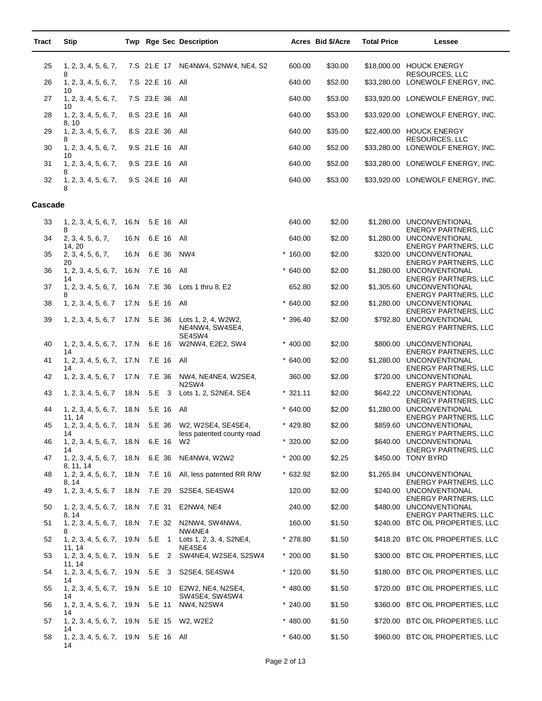| Tract   | <b>Stip</b>                                |      |                     | Twp Rge Sec Description                                                          |            | Acres Bid \$/Acre | <b>Total Price</b> | Lessee                                                                                  |
|---------|--------------------------------------------|------|---------------------|----------------------------------------------------------------------------------|------------|-------------------|--------------------|-----------------------------------------------------------------------------------------|
| 25      | 1, 2, 3, 4, 5, 6, 7,                       |      |                     | 7.S 21.E 17 NE4NW4, S2NW4, NE4, S2                                               | 600.00     | \$30.00           |                    | \$18,000.00 HOUCK ENERGY                                                                |
| 26      | 8<br>1, 2, 3, 4, 5, 6, 7,                  |      | 7.S 22.E 16         | All                                                                              | 640.00     | \$52.00           |                    | RESOURCES, LLC<br>\$33,280.00 LONEWOLF ENERGY, INC.                                     |
| 27      | 10<br>1, 2, 3, 4, 5, 6, 7,<br>10           |      | 7.S 23.E 36         | All                                                                              | 640.00     | \$53.00           |                    | \$33,920.00 LONEWOLF ENERGY, INC.                                                       |
| 28      | 1, 2, 3, 4, 5, 6, 7,<br>8, 10              |      | 8.S 23.E 16         | All                                                                              | 640.00     | \$53.00           |                    | \$33,920.00 LONEWOLF ENERGY, INC.                                                       |
| 29      | 1, 2, 3, 4, 5, 6, 7,<br>8                  |      | 8.S 23.E 36         | All                                                                              | 640.00     | \$35.00           |                    | \$22,400.00 HOUCK ENERGY<br><b>RESOURCES, LLC</b>                                       |
| 30      | 1, 2, 3, 4, 5, 6, 7,<br>10                 |      | 9.S 21.E 16         | All                                                                              | 640.00     | \$52.00           |                    | \$33,280.00 LONEWOLF ENERGY, INC.                                                       |
| 31      | 1, 2, 3, 4, 5, 6, 7,<br>8                  |      | 9.S 23.E 16         | All                                                                              | 640.00     | \$52.00           |                    | \$33,280.00 LONEWOLF ENERGY, INC.                                                       |
| 32      | 1, 2, 3, 4, 5, 6, 7,<br>8                  |      | 9.S 24.E 16 All     |                                                                                  | 640.00     | \$53.00           |                    | \$33,920.00 LONEWOLF ENERGY, INC.                                                       |
| Cascade |                                            |      |                     |                                                                                  |            |                   |                    |                                                                                         |
| 33      | 1, 2, 3, 4, 5, 6, 7,                       | 16.N | 5.E 16 All          |                                                                                  | 640.00     | \$2.00            |                    | \$1,280.00 UNCONVENTIONAL                                                               |
| 34      | 8<br>2, 3, 4, 5, 6, 7,                     | 16.N | 6.E 16              | All                                                                              | 640.00     | \$2.00            |                    | <b>ENERGY PARTNERS, LLC</b><br>\$1,280.00 UNCONVENTIONAL                                |
| 35      | 14, 20<br>2, 3, 4, 5, 6, 7,                | 16.N | 6.E 36              | NW4                                                                              | $*160.00$  | \$2.00            |                    | <b>ENERGY PARTNERS, LLC</b><br>\$320.00 UNCONVENTIONAL                                  |
| 36      | 20<br>1, 2, 3, 4, 5, 6, 7,                 | 16.N | 7.E 16              | All                                                                              | $*640.00$  | \$2.00            |                    | <b>ENERGY PARTNERS, LLC</b><br>\$1,280.00 UNCONVENTIONAL                                |
| 37      | 14<br>1, 2, 3, 4, 5, 6, 7,<br>8            | 16.N | 7.E 36              | Lots 1 thru 8, E2                                                                | 652.80     | \$2.00            |                    | <b>ENERGY PARTNERS, LLC</b><br>\$1,305.60 UNCONVENTIONAL<br><b>ENERGY PARTNERS, LLC</b> |
| 38      | 1, 2, 3, 4, 5, 6, 7                        | 17.N | 5.E 16              | All                                                                              | $*640.00$  | \$2.00            |                    | \$1,280.00 UNCONVENTIONAL<br><b>ENERGY PARTNERS, LLC</b>                                |
| 39      | 1, 2, 3, 4, 5, 6, 7                        | 17.N | 5.E 36              | Lots 1, 2, 4, W2W2,<br>NE4NW4, SW4SE4,<br>SE4SW4                                 | $*396.40$  | \$2.00            |                    | \$792.80 UNCONVENTIONAL<br><b>ENERGY PARTNERS, LLC</b>                                  |
| 40      | 1, 2, 3, 4, 5, 6, 7, 17.N<br>14            |      | 6.E 16              | W2NW4, E2E2, SW4                                                                 | $* 400.00$ | \$2.00            |                    | \$800.00 UNCONVENTIONAL<br><b>ENERGY PARTNERS, LLC</b>                                  |
| 41      | 1, 2, 3, 4, 5, 6, 7,<br>14                 | 17.N | 7.E 16              | All                                                                              | $*640.00$  | \$2.00            |                    | \$1,280.00 UNCONVENTIONAL<br><b>ENERGY PARTNERS, LLC</b>                                |
| 42      | 1, 2, 3, 4, 5, 6, 7                        | 17.N | 7.E 36              | NW4, NE4NE4, W2SE4,<br>N <sub>2</sub> SW <sub>4</sub>                            | 360.00     | \$2.00            |                    | \$720.00 UNCONVENTIONAL<br><b>ENERGY PARTNERS, LLC</b>                                  |
| 43      | 1, 2, 3, 4, 5, 6, 7                        | 18.N | 5.E<br>$\mathbf{3}$ | Lots 1, 2, S2NE4, SE4                                                            | $*321.11$  | \$2.00            |                    | \$642.22 UNCONVENTIONAL<br><b>ENERGY PARTNERS, LLC</b>                                  |
| 44      | 1, 2, 3, 4, 5, 6, 7,<br>11, 14             | 18.N | 5.E 16              | All                                                                              | $*640.00$  | \$2.00            |                    | \$1,280.00 UNCONVENTIONAL<br><b>ENERGY PARTNERS, LLC</b>                                |
| 45      | 14                                         |      |                     | 1, 2, 3, 4, 5, 6, 7, 18.N 5.E 36 W2, W2SE4, SE4SE4,<br>less patented county road | $* 429.80$ | \$2.00            |                    | \$859.60 UNCONVENTIONAL<br><b>ENERGY PARTNERS, LLC</b>                                  |
| 46      | 1, 2, 3, 4, 5, 6, 7, 18.N<br>14            |      | 6.E 16              | W <sub>2</sub>                                                                   | $*320.00$  | \$2.00            |                    | \$640.00 UNCONVENTIONAL<br><b>ENERGY PARTNERS, LLC</b>                                  |
| 47      | 1, 2, 3, 4, 5, 6, 7, 18. N<br>8, 11, 14    |      | 6.E 36              | NE4NW4, W2W2                                                                     | $*200.00$  | \$2.25            |                    | \$450.00 TONY BYRD                                                                      |
| 48      | 1, 2, 3, 4, 5, 6, 7, 18.N<br>8, 14         |      | 7.E 16              | All, less patented RR R/W                                                        | $*632.92$  | \$2.00            |                    | \$1,265.84 UNCONVENTIONAL<br><b>ENERGY PARTNERS, LLC</b>                                |
| 49      | 1, 2, 3, 4, 5, 6, 7                        | 18.N | 7.E 29              | S2SE4, SE4SW4                                                                    | 120.00     | \$2.00            |                    | \$240.00 UNCONVENTIONAL<br><b>ENERGY PARTNERS, LLC</b>                                  |
| 50      | 1, 2, 3, 4, 5, 6, 7,<br>8. 14              | 18.N | 7.E 31              | E2NW4, NE4                                                                       | 240.00     | \$2.00            |                    | \$480.00 UNCONVENTIONAL<br><b>ENERGY PARTNERS, LLC</b>                                  |
| 51      | 1, 2, 3, 4, 5, 6, 7, 18. N<br>8            |      | 7.E 32              | N2NW4, SW4NW4,<br>NW4NE4                                                         | 160.00     | \$1.50            |                    | \$240.00 BTC OIL PROPERTIES, LLC                                                        |
| 52      | 1, 2, 3, 4, 5, 6, 7, 19. N<br>11, 14       |      | 5.E 1               | Lots 1, 2, 3, 4, S2NE4,<br>NE4SE4                                                | $*278.80$  | \$1.50            |                    | \$418.20 BTC OIL PROPERTIES, LLC                                                        |
| 53      | 1, 2, 3, 4, 5, 6, 7, 19. N<br>11, 14       |      |                     | 5.E 2 SW4NE4, W2SE4, S2SW4                                                       | $*200.00$  | \$1.50            |                    | \$300.00 BTC OIL PROPERTIES, LLC                                                        |
| 54      | 1, 2, 3, 4, 5, 6, 7,<br>14                 | 19.N | 5.E 3               | S2SE4, SE4SW4                                                                    | $*120.00$  | \$1.50            |                    | \$180.00 BTC OIL PROPERTIES, LLC                                                        |
| 55      | 1, 2, 3, 4, 5, 6, 7,<br>14                 | 19.N | 5.E 10              | E2W2, NE4, N2SE4,<br>SW4SE4, SW4SW4                                              | $* 480.00$ | \$1.50            |                    | \$720.00 BTC OIL PROPERTIES, LLC                                                        |
| 56      | 1, 2, 3, 4, 5, 6, 7,<br>14                 | 19.N | 5.E 11              | NW4, N2SW4                                                                       | $*240.00$  | \$1.50            |                    | \$360.00 BTC OIL PROPERTIES, LLC                                                        |
| 57      | 1, 2, 3, 4, 5, 6, 7, 19.N<br>14            |      |                     | 5.E 15 W2, W2E2                                                                  | $*480.00$  | \$1.50            |                    | \$720.00 BTC OIL PROPERTIES, LLC                                                        |
| 58      | 1, 2, 3, 4, 5, 6, 7, 19.N 5.E 16 All<br>14 |      |                     |                                                                                  | $*640.00$  | \$1.50            |                    | \$960.00 BTC OIL PROPERTIES, LLC                                                        |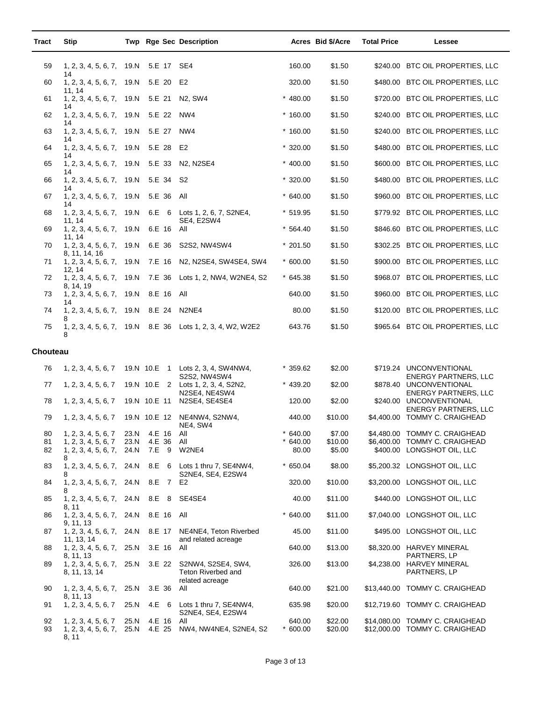| Tract           | <b>Stip</b>                                            |                      |                               | Twp Rge Sec Description                         |                              | Acres Bid \$/Acre  | <b>Total Price</b> | Lessee                                                           |
|-----------------|--------------------------------------------------------|----------------------|-------------------------------|-------------------------------------------------|------------------------------|--------------------|--------------------|------------------------------------------------------------------|
| 59              | 1, 2, 3, 4, 5, 6, 7, 19.N                              |                      | 5.E 17 SE4                    |                                                 | 160.00                       | \$1.50             |                    | \$240.00 BTC OIL PROPERTIES, LLC                                 |
| 60              | 14<br>1, 2, 3, 4, 5, 6, 7, 19. N                       |                      | 5.E 20                        | E2                                              | 320.00                       | \$1.50             |                    | \$480.00 BTC OIL PROPERTIES, LLC                                 |
| 61              | 11, 14<br>1, 2, 3, 4, 5, 6, 7, 19. N                   |                      | 5.E 21                        | N <sub>2</sub> . SW <sub>4</sub>                | $* 480.00$                   | \$1.50             |                    | \$720.00 BTC OIL PROPERTIES, LLC                                 |
| 62              | 14<br>1, 2, 3, 4, 5, 6, 7, 19. N                       |                      | 5.E 22                        | NW4                                             | $*160.00$                    | \$1.50             |                    | \$240.00 BTC OIL PROPERTIES, LLC                                 |
| 63              | 14<br>1, 2, 3, 4, 5, 6, 7, 19. N                       |                      | 5.E 27                        | NW4                                             | $*160.00$                    | \$1.50             |                    | \$240.00 BTC OIL PROPERTIES, LLC                                 |
| 64              | 14<br>1, 2, 3, 4, 5, 6, 7, 19. N                       |                      | 5.E 28 E2                     |                                                 | $*320.00$                    | \$1.50             |                    | \$480.00 BTC OIL PROPERTIES, LLC                                 |
| 65              | 14<br>1, 2, 3, 4, 5, 6, 7, 19. N                       |                      | 5.E 33                        | N2, N2SE4                                       | $* 400.00$                   | \$1.50             |                    | \$600.00 BTC OIL PROPERTIES, LLC                                 |
| 66              | 14<br>1, 2, 3, 4, 5, 6, 7, 19. N                       |                      | 5.E 34                        | S <sub>2</sub>                                  | $*320.00$                    | \$1.50             |                    | \$480.00 BTC OIL PROPERTIES, LLC                                 |
| 67              | 14<br>1, 2, 3, 4, 5, 6, 7,                             | 19.N                 | 5.E 36                        | All                                             | $*640.00$                    | \$1.50             |                    | \$960.00 BTC OIL PROPERTIES, LLC                                 |
| 68              | 14<br>1, 2, 3, 4, 5, 6, 7, 19. N                       |                      | 6.E 6                         | Lots 1, 2, 6, 7, S2NE4,                         | $*519.95$                    | \$1.50             |                    | \$779.92 BTC OIL PROPERTIES, LLC                                 |
| 69              | 11, 14<br>1, 2, 3, 4, 5, 6, 7, 19. N                   |                      | 6.E 16                        | SE4, E2SW4<br>All                               | $*564.40$                    | \$1.50             |                    | \$846.60 BTC OIL PROPERTIES, LLC                                 |
| 70              | 11.14<br>1, 2, 3, 4, 5, 6, 7, 19. N                    |                      | 6.E 36                        | S2S2, NW4SW4                                    | $*201.50$                    | \$1.50             |                    | \$302.25 BTC OIL PROPERTIES, LLC                                 |
| 71              | 8, 11, 14, 16<br>1, 2, 3, 4, 5, 6, 7, 19. N            |                      | 7.E 16                        | N2, N2SE4, SW4SE4, SW4                          | $*600.00$                    | \$1.50             |                    | \$900.00 BTC OIL PROPERTIES, LLC                                 |
| 72              | 12, 14<br>1, 2, 3, 4, 5, 6, 7, 19. N                   |                      |                               | 7.E 36 Lots 1, 2, NW4, W2NE4, S2                | $*645.38$                    | \$1.50             |                    | \$968.07 BTC OIL PROPERTIES, LLC                                 |
| 73              | 8, 14, 19<br>1, 2, 3, 4, 5, 6, 7, 19. N<br>14          |                      | 8.E 16 All                    |                                                 | 640.00                       | \$1.50             |                    | \$960.00 BTC OIL PROPERTIES, LLC                                 |
| 74              | 1, 2, 3, 4, 5, 6, 7,<br>8                              | 19.N                 | 8.E 24                        | N2NE4                                           | 80.00                        | \$1.50             |                    | \$120.00 BTC OIL PROPERTIES, LLC                                 |
| 75              | 1, 2, 3, 4, 5, 6, 7, 19.N<br>8                         |                      |                               | 8.E 36 Lots 1, 2, 3, 4, W2, W2E2                | 643.76                       | \$1.50             |                    | \$965.64 BTC OIL PROPERTIES, LLC                                 |
| <b>Chouteau</b> |                                                        |                      |                               |                                                 |                              |                    |                    |                                                                  |
| 76              | 1, 2, 3, 4, 5, 6, 7                                    |                      |                               | 19.N 10.E 1 Lots 2, 3, 4, SW4NW4,               | $*359.62$                    | \$2.00             |                    | \$719.24 UNCONVENTIONAL                                          |
| 77              | 1, 2, 3, 4, 5, 6, 7                                    |                      | 19.N 10.E 2                   | S2S2, NW4SW4<br>Lots 1, 2, 3, 4, S2N2,          | $*$ 439.20                   | \$2.00             |                    | <b>ENERGY PARTNERS, LLC</b><br>\$878.40 UNCONVENTIONAL           |
| 78              | 1, 2, 3, 4, 5, 6, 7                                    |                      | 19.N 10.E 11                  | N2SE4, NE4SW4<br>N2SE4, SE4SE4                  | 120.00                       | \$2.00             |                    | <b>ENERGY PARTNERS, LLC</b><br>\$240.00 UNCONVENTIONAL           |
| 79              | 1, 2, 3, 4, 5, 6, 7                                    |                      | 19.N 10.E 12                  | NE4NW4, S2NW4,                                  | 440.00                       | \$10.00            |                    | <b>ENERGY PARTNERS, LLC</b><br>\$4,400.00 TOMMY C. CRAIGHEAD     |
|                 |                                                        |                      |                               | NE4, SW4                                        |                              | \$7.00             |                    | \$4,480.00 TOMMY C. CRAIGHEAD                                    |
| 80<br>81<br>82  | 1, 2, 3, 4, 5, 6, 7<br>1, 2, 3, 4, 5, 6, 7             | 23.N<br>23.N<br>24.N | 4.E 16 All<br>4.E 36<br>7.E 9 | All<br>W2NE4                                    | 640.00<br>$*640.00$<br>80.00 | \$10.00<br>\$5.00  |                    | \$6,400.00 TOMMY C. CRAIGHEAD<br>\$400.00 LONGSHOT OIL, LLC      |
| 83              | 1, 2, 3, 4, 5, 6, 7,<br>8<br>1, 2, 3, 4, 5, 6, 7, 24.N |                      |                               | 8.E 6 Lots 1 thru 7, SE4NW4,                    | $*650.04$                    | \$8.00             |                    | \$5,200.32 LONGSHOT OIL, LLC                                     |
| 84              | 8<br>1, 2, 3, 4, 5, 6, 7, 24. N                        |                      | 8.E 7 E2                      | S2NE4, SE4, E2SW4                               | 320.00                       | \$10.00            |                    | \$3,200.00 LONGSHOT OIL, LLC                                     |
| 85              | 8<br>1, 2, 3, 4, 5, 6, 7, 24.N                         |                      | 8.E 8                         | SE4SE4                                          | 40.00                        | \$11.00            |                    | \$440.00 LONGSHOT OIL, LLC                                       |
| 86              | 8, 11<br>1, 2, 3, 4, 5, 6, 7, 24.N                     |                      | 8.E 16 All                    |                                                 | $*640.00$                    | \$11.00            |                    | \$7,040.00 LONGSHOT OIL, LLC                                     |
|                 | 9, 11, 13                                              |                      |                               |                                                 |                              |                    |                    |                                                                  |
| 87              | 1, 2, 3, 4, 5, 6, 7, 24.N<br>11, 13, 14                |                      | 8.E 17                        | NE4NE4, Teton Riverbed<br>and related acreage   | 45.00                        | \$11.00            |                    | \$495.00 LONGSHOT OIL, LLC                                       |
| 88              | 1, 2, 3, 4, 5, 6, 7, 25. N<br>8, 11, 13                |                      | 3.E 16 All                    |                                                 | 640.00                       | \$13.00            |                    | \$8,320.00 HARVEY MINERAL<br>PARTNERS, LP                        |
| 89              | 1, 2, 3, 4, 5, 6, 7, 25. N<br>8, 11, 13, 14            |                      |                               | 3.E 22 S2NW4, S2SE4, SW4,<br>Teton Riverbed and | 326.00                       | \$13.00            |                    | \$4,238.00 HARVEY MINERAL<br>PARTNERS, LP                        |
| 90              | 1, 2, 3, 4, 5, 6, 7, 25. N                             |                      | 3.E 36                        | related acreage<br>All                          | 640.00                       | \$21.00            |                    | \$13,440.00 TOMMY C. CRAIGHEAD                                   |
| 91              | 8, 11, 13<br>1, 2, 3, 4, 5, 6, 7                       | 25.N                 | 4.E 6                         | Lots 1 thru 7, SE4NW4,<br>S2NE4, SE4, E2SW4     | 635.98                       | \$20.00            |                    | \$12,719.60 TOMMY C. CRAIGHEAD                                   |
| 92<br>93        | 1, 2, 3, 4, 5, 6, 7<br>1, 2, 3, 4, 5, 6, 7,            | 25.N<br>25.N         | 4.E 16<br>4.E 25              | All<br>NW4, NW4NE4, S2NE4, S2                   | 640.00<br>$*600.00$          | \$22.00<br>\$20.00 |                    | \$14,080.00 TOMMY C. CRAIGHEAD<br>\$12,000.00 TOMMY C. CRAIGHEAD |
|                 | 8, 11                                                  |                      |                               |                                                 |                              |                    |                    |                                                                  |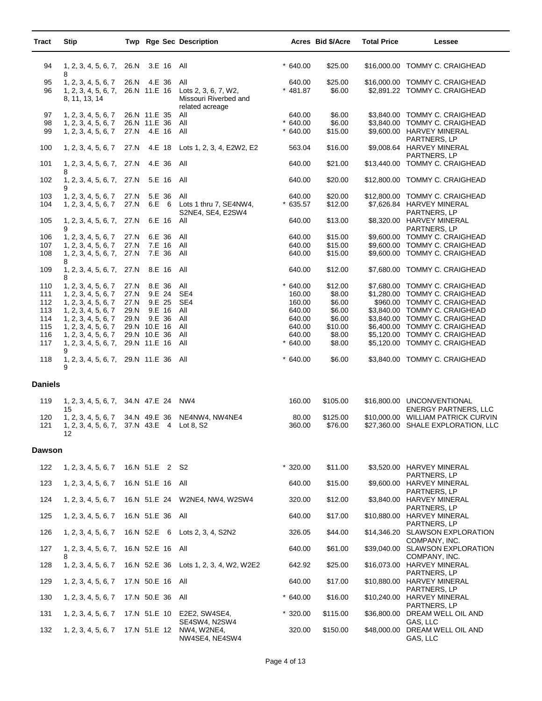| Tract          | <b>Stip</b>                                                             |              |                                        | Twp Rge Sec Description                                                 |                                  | Acres Bid \$/Acre           | <b>Total Price</b> | Lessee                                                                                                      |
|----------------|-------------------------------------------------------------------------|--------------|----------------------------------------|-------------------------------------------------------------------------|----------------------------------|-----------------------------|--------------------|-------------------------------------------------------------------------------------------------------------|
| 94             | 1, 2, 3, 4, 5, 6, 7,<br>8                                               | 26.N         | 3.E 16 All                             |                                                                         | $*640.00$                        | \$25.00                     |                    | \$16,000.00 TOMMY C. CRAIGHEAD                                                                              |
| 95<br>96       | 1, 2, 3, 4, 5, 6, 7<br>1, 2, 3, 4, 5, 6, 7,<br>8, 11, 13, 14            | 26.N         | 4.E 36<br>26.N 11.E 16                 | All<br>Lots 2, 3, 6, 7, W2,<br>Missouri Riverbed and<br>related acreage | 640.00<br>$* 481.87$             | \$25.00<br>\$6.00           |                    | \$16,000.00 TOMMY C. CRAIGHEAD<br>\$2,891.22 TOMMY C. CRAIGHEAD                                             |
| 97<br>98<br>99 | 1, 2, 3, 4, 5, 6, 7<br>1, 2, 3, 4, 5, 6, 7<br>1, 2, 3, 4, 5, 6, 7       | 27.N         | 26.N 11.E 35<br>26.N 11.E 36<br>4.E 16 | All<br>All<br>All                                                       | 640.00<br>$*640.00$<br>$*640.00$ | \$6.00<br>\$6.00<br>\$15.00 |                    | \$3,840.00 TOMMY C. CRAIGHEAD<br>\$3,840.00 TOMMY C. CRAIGHEAD<br>\$9,600.00 HARVEY MINERAL<br>PARTNERS, LP |
| 100            | 1, 2, 3, 4, 5, 6, 7                                                     | 27.N         |                                        | 4.E 18 Lots 1, 2, 3, 4, E2W2, E2                                        | 563.04                           | \$16.00                     |                    | \$9,008.64 HARVEY MINERAL<br>PARTNERS, LP                                                                   |
| 101            | 1, 2, 3, 4, 5, 6, 7, 27.N<br>8                                          |              | 4.E 36                                 | All                                                                     | 640.00                           | \$21.00                     |                    | \$13,440.00 TOMMY C. CRAIGHEAD                                                                              |
| 102            | 1, 2, 3, 4, 5, 6, 7,<br>9                                               | 27.N         | 5.E 16 All                             |                                                                         | 640.00                           | \$20.00                     |                    | \$12,800.00 TOMMY C. CRAIGHEAD                                                                              |
| 103<br>104     | 1, 2, 3, 4, 5, 6, 7<br>1, 2, 3, 4, 5, 6, 7                              | 27.N<br>27.N | 5.E 36<br>6.E 6                        | All<br>Lots 1 thru 7, SE4NW4,<br>S2NE4, SE4, E2SW4                      | 640.00<br>$*635.57$              | \$20.00<br>\$12.00          |                    | \$12,800.00 TOMMY C. CRAIGHEAD<br>\$7,626.84 HARVEY MINERAL<br>PARTNERS, LP                                 |
| 105            | 1, 2, 3, 4, 5, 6, 7,<br>9                                               | 27.N         | 6.E 16                                 | All                                                                     | 640.00                           | \$13.00                     |                    | \$8,320.00 HARVEY MINERAL<br>PARTNERS, LP                                                                   |
| 106            | 1, 2, 3, 4, 5, 6, 7                                                     | 27.N         | 6.E 36                                 | All                                                                     | 640.00                           | \$15.00                     |                    | \$9,600.00 TOMMY C. CRAIGHEAD                                                                               |
| 107<br>108     | 1, 2, 3, 4, 5, 6, 7<br>1, 2, 3, 4, 5, 6, 7,                             | 27.N<br>27.N | 7.E 16<br>7.E 36                       | All<br>All                                                              | 640.00<br>640.00                 | \$15.00<br>\$15.00          |                    | \$9,600.00 TOMMY C. CRAIGHEAD<br>\$9,600.00 TOMMY C. CRAIGHEAD                                              |
| 109            | 8<br>1, 2, 3, 4, 5, 6, 7,<br>8                                          | 27.N         | 8.E 16                                 | All                                                                     | 640.00                           | \$12.00                     |                    | \$7,680.00 TOMMY C. CRAIGHEAD                                                                               |
| 110            | 1, 2, 3, 4, 5, 6, 7                                                     | 27.N         | 8.E 36                                 | All                                                                     | $*640.00$                        | \$12.00                     |                    | \$7,680.00 TOMMY C. CRAIGHEAD                                                                               |
| 111            | 1, 2, 3, 4, 5, 6, 7                                                     | 27.N         | 9.E 24                                 | SE4                                                                     | 160.00                           | \$8.00                      |                    | \$1,280.00 TOMMY C. CRAIGHEAD                                                                               |
| 112            | 1, 2, 3, 4, 5, 6, 7                                                     | 27.N         | 9.E 25<br>9.E 16                       | SE4<br>All                                                              | 160.00                           | \$6.00                      |                    | \$960.00 TOMMY C. CRAIGHEAD<br>\$3,840.00 TOMMY C. CRAIGHEAD                                                |
| 113<br>114     | 1, 2, 3, 4, 5, 6, 7<br>1, 2, 3, 4, 5, 6, 7                              | 29.N<br>29.N | 9.E 36                                 | All                                                                     | 640.00<br>640.00                 | \$6.00<br>\$6.00            |                    | \$3,840.00 TOMMY C. CRAIGHEAD                                                                               |
| 115            | 1, 2, 3, 4, 5, 6, 7                                                     |              | 29.N 10.E 16                           | All                                                                     | 640.00                           | \$10.00                     |                    | \$6,400.00 TOMMY C. CRAIGHEAD                                                                               |
| 116            | 1, 2, 3, 4, 5, 6, 7                                                     |              | 29.N 10.E 36                           | All                                                                     | 640.00                           | \$8.00                      |                    | \$5,120.00 TOMMY C. CRAIGHEAD                                                                               |
| 117            | 1, 2, 3, 4, 5, 6, 7,<br>9                                               |              | 29.N 11.E 16                           | All                                                                     | $*640.00$                        | \$8.00                      |                    | \$5,120.00 TOMMY C. CRAIGHEAD                                                                               |
| 118            | 1, 2, 3, 4, 5, 6, 7,<br>9                                               |              | 29.N 11.E 36 All                       |                                                                         | $*640.00$                        | \$6.00                      |                    | \$3,840.00 TOMMY C. CRAIGHEAD                                                                               |
| <b>Daniels</b> |                                                                         |              |                                        |                                                                         |                                  |                             |                    |                                                                                                             |
| 119            | 1, 2, 3, 4, 5, 6, 7, 34. N 47. E 24<br>15                               |              |                                        | NW4                                                                     | 160.00                           | \$105.00                    |                    | \$16,800.00 UNCONVENTIONAL<br><b>ENERGY PARTNERS, LLC</b>                                                   |
| 120<br>121     | 1, 2, 3, 4, 5, 6, 7<br>1, 2, 3, 4, 5, 6, 7, 37.N 43.E 4 Lot 8, S2<br>12 |              | 34.N 49.E 36                           | NE4NW4, NW4NE4                                                          | 80.00<br>360.00                  | \$125.00<br>\$76.00         |                    | \$10,000.00 WILLIAM PATRICK CURVIN<br>\$27,360.00 SHALE EXPLORATION, LLC                                    |
| <b>Dawson</b>  |                                                                         |              |                                        |                                                                         |                                  |                             |                    |                                                                                                             |
| 122            | 1, 2, 3, 4, 5, 6, 7                                                     |              | 16.N 51.E 2 S2                         |                                                                         | $*320.00$                        | \$11.00                     |                    | \$3,520.00 HARVEY MINERAL<br>PARTNERS, LP                                                                   |
| 123            | 1, 2, 3, 4, 5, 6, 7                                                     |              | 16.N 51.E 16 All                       |                                                                         | 640.00                           | \$15.00                     |                    | \$9,600.00 HARVEY MINERAL<br>PARTNERS, LP                                                                   |
| 124            | 1, 2, 3, 4, 5, 6, 7                                                     |              |                                        | 16.N 51.E 24 W2NE4, NW4, W2SW4                                          | 320.00                           | \$12.00                     |                    | \$3,840.00 HARVEY MINERAL<br>PARTNERS, LP                                                                   |
| 125            | 1, 2, 3, 4, 5, 6, 7                                                     |              | 16.N 51.E 36 All                       |                                                                         | 640.00                           | \$17.00                     |                    | \$10,880.00 HARVEY MINERAL<br>PARTNERS, LP                                                                  |
| 126            | 1, 2, 3, 4, 5, 6, 7                                                     |              |                                        | 16.N 52.E 6 Lots 2, 3, 4, S2N2                                          | 326.05                           | \$44.00                     |                    | \$14,346.20 SLAWSON EXPLORATION<br>COMPANY, INC.                                                            |
| 127            | 1, 2, 3, 4, 5, 6, 7, 16.N 52.E 16 All<br>8                              |              |                                        |                                                                         | 640.00                           | \$61.00                     |                    | \$39,040.00 SLAWSON EXPLORATION<br>COMPANY, INC.                                                            |
| 128            | 1, 2, 3, 4, 5, 6, 7                                                     |              |                                        | 16.N 52.E 36 Lots 1, 2, 3, 4, W2, W2E2                                  | 642.92                           | \$25.00                     |                    | \$16,073.00 HARVEY MINERAL<br>PARTNERS, LP                                                                  |
| 129            | 1, 2, 3, 4, 5, 6, 7                                                     |              | 17.N 50.E 16 All                       |                                                                         | 640.00                           | \$17.00                     |                    | \$10,880.00 HARVEY MINERAL<br>PARTNERS, LP                                                                  |
| 130            | 1, 2, 3, 4, 5, 6, 7                                                     |              | 17.N 50.E 36 All                       |                                                                         | $*640.00$                        | \$16.00                     |                    | \$10,240.00 HARVEY MINERAL<br>PARTNERS, LP                                                                  |
| 131            | 1, 2, 3, 4, 5, 6, 7                                                     |              |                                        | 17.N 51.E 10 E2E2, SW4SE4,<br>SE4SW4, N2SW4                             | $*320.00$                        | \$115.00                    |                    | \$36,800.00 DREAM WELL OIL AND<br>GAS, LLC                                                                  |
| 132            | 1, 2, 3, 4, 5, 6, 7                                                     |              | 17.N 51.E 12                           | NW4, W2NE4,<br>NW4SE4, NE4SW4                                           | 320.00                           | \$150.00                    |                    | \$48,000.00 DREAM WELL OIL AND<br>GAS, LLC                                                                  |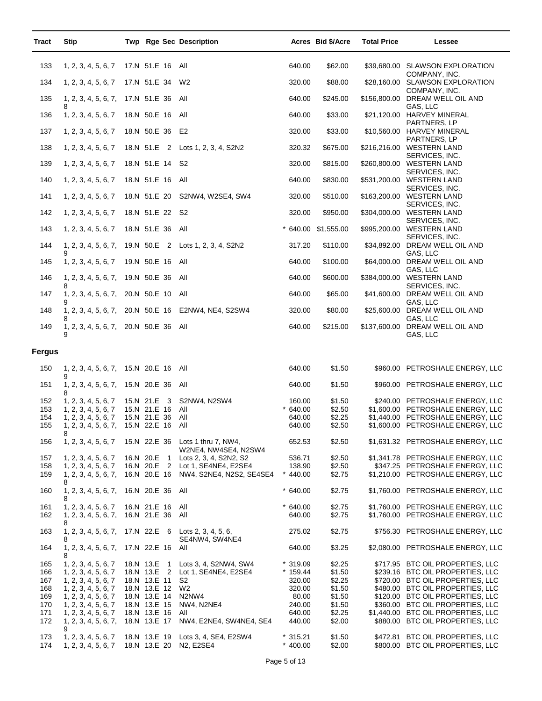| <b>Tract</b> | <b>Stip</b>                                       |                              |                | Twp Rge Sec Description                                    |                        | Acres Bid \$/Acre   | <b>Total Price</b> | Lessee                                                                 |
|--------------|---------------------------------------------------|------------------------------|----------------|------------------------------------------------------------|------------------------|---------------------|--------------------|------------------------------------------------------------------------|
| 133          | 1, 2, 3, 4, 5, 6, 7                               | 17.N 51.E 16 All             |                |                                                            | 640.00                 | \$62.00             |                    | \$39,680.00 SLAWSON EXPLORATION                                        |
| 134          | 1, 2, 3, 4, 5, 6, 7                               | 17.N 51.E 34                 |                | W2                                                         | 320.00                 | \$88.00             |                    | COMPANY, INC.<br>\$28,160.00 SLAWSON EXPLORATION                       |
| 135          | 1, 2, 3, 4, 5, 6, 7,<br>8                         | 17.N 51.E 36                 |                | All                                                        | 640.00                 | \$245.00            |                    | COMPANY, INC.<br>\$156,800.00 DREAM WELL OIL AND<br>GAS, LLC           |
| 136          | 1, 2, 3, 4, 5, 6, 7                               | 18.N 50.E 16                 |                | All                                                        | 640.00                 | \$33.00             |                    | \$21,120.00 HARVEY MINERAL                                             |
| 137          | 1, 2, 3, 4, 5, 6, 7                               | 18.N 50.E 36 E2              |                |                                                            | 320.00                 | \$33.00             |                    | PARTNERS, LP<br>\$10,560.00 HARVEY MINERAL                             |
| 138          | 1, 2, 3, 4, 5, 6, 7                               |                              |                | 18.N 51.E 2 Lots 1, 2, 3, 4, S2N2                          | 320.32                 | \$675.00            |                    | PARTNERS, LP<br>\$216,216.00 WESTERN LAND                              |
| 139          | 1, 2, 3, 4, 5, 6, 7                               | 18.N 51.E 14                 |                | S2                                                         | 320.00                 | \$815.00            |                    | SERVICES, INC.<br>\$260,800.00 WESTERN LAND<br>SERVICES, INC.          |
| 140          | 1, 2, 3, 4, 5, 6, 7                               | 18.N 51.E 16                 |                | All                                                        | 640.00                 | \$830.00            |                    | \$531,200.00 WESTERN LAND                                              |
| 141          | 1, 2, 3, 4, 5, 6, 7                               |                              |                | 18.N 51.E 20 S2NW4, W2SE4, SW4                             | 320.00                 | \$510.00            |                    | SERVICES, INC.<br>\$163,200.00 WESTERN LAND<br>SERVICES, INC.          |
| 142          | 1, 2, 3, 4, 5, 6, 7                               | 18.N 51.E 22 S2              |                |                                                            | 320.00                 | \$950.00            |                    | \$304,000.00 WESTERN LAND<br>SERVICES, INC.                            |
| 143          | 1, 2, 3, 4, 5, 6, 7                               | 18.N 51.E 36                 |                | All                                                        |                        | * 640.00 \$1,555.00 |                    | \$995,200.00 WESTERN LAND<br>SERVICES, INC.                            |
| 144          | 1, 2, 3, 4, 5, 6, 7,<br>9                         |                              |                | 19.N 50.E 2 Lots 1, 2, 3, 4, S2N2                          | 317.20                 | \$110.00            |                    | \$34,892.00 DREAM WELL OIL AND<br>GAS, LLC                             |
| 145          | 1, 2, 3, 4, 5, 6, 7                               | 19.N 50.E 16                 |                | All                                                        | 640.00                 | \$100.00            |                    | \$64,000.00 DREAM WELL OIL AND<br>GAS, LLC                             |
| 146          | 1, 2, 3, 4, 5, 6, 7,<br>8                         | 19.N 50.E 36                 |                | All                                                        | 640.00                 | \$600.00            |                    | \$384,000.00 WESTERN LAND<br>SERVICES, INC.                            |
| 147          | 1, 2, 3, 4, 5, 6, 7,<br>9                         | 20.N 50.E 10                 |                | All                                                        | 640.00                 | \$65.00             |                    | \$41,600.00 DREAM WELL OIL AND<br>GAS, LLC                             |
| 148          | 1, 2, 3, 4, 5, 6, 7,<br>8                         |                              |                | 20.N 50.E 16 E2NW4, NE4, S2SW4                             | 320.00                 | \$80.00             |                    | \$25,600.00 DREAM WELL OIL AND<br>GAS, LLC                             |
| 149          | 1, 2, 3, 4, 5, 6, 7,                              | 20.N 50.E 36                 |                | All                                                        | 640.00                 | \$215.00            |                    | \$137,600.00 DREAM WELL OIL AND<br>GAS, LLC                            |
| Fergus       |                                                   |                              |                |                                                            |                        |                     |                    |                                                                        |
| 150          | 1, 2, 3, 4, 5, 6, 7, 15.N 20.E 16 All             |                              |                |                                                            | 640.00                 | \$1.50              |                    | \$960.00 PETROSHALE ENERGY, LLC                                        |
| 151          | 9<br>1, 2, 3, 4, 5, 6, 7,<br>8                    | 15.N 20.E 36                 |                | All                                                        | 640.00                 | \$1.50              |                    | \$960.00 PETROSHALE ENERGY, LLC                                        |
| 152<br>153   | 1, 2, 3, 4, 5, 6, 7<br>1, 2, 3, 4, 5, 6, 7        | 15.N 21.E 3<br>15.N 21.E 16  |                | S2NW4, N2SW4<br>All                                        | 160.00<br>$*640.00$    | \$1.50<br>\$2.50    |                    | \$240.00 PETROSHALE ENERGY, LLC<br>\$1,600.00 PETROSHALE ENERGY, LLC   |
| 154          | 1, 2, 3, 4, 5, 6, 7                               | 15.N 21.E 36                 |                | All                                                        | 640.00                 | \$2.25              |                    | \$1,440.00 PETROSHALE ENERGY, LLC                                      |
| 155          | 1, 2, 3, 4, 5, 6, 7,<br>8                         | 15.N 22.E 16                 |                | All                                                        | 640.00                 | \$2.50              |                    | \$1,600.00 PETROSHALE ENERGY, LLC                                      |
| 156          | 1, 2, 3, 4, 5, 6, 7                               |                              |                | 15.N 22.E 36 Lots 1 thru 7, NW4,<br>W2NE4, NW4SE4, N2SW4   | 652.53                 | \$2.50              |                    | \$1,631.32 PETROSHALE ENERGY, LLC                                      |
| 157<br>158   | 1, 2, 3, 4, 5, 6, 7<br>1, 2, 3, 4, 5, 6, 7        | 16.N 20.E                    | $\overline{1}$ | Lots 2, 3, 4, S2N2, S2<br>16.N 20.E 2 Lot 1, SE4NE4, E2SE4 | 536.71<br>138.90       | \$2.50<br>\$2.50    |                    | \$1,341.78 PETROSHALE ENERGY, LLC<br>\$347.25 PETROSHALE ENERGY, LLC   |
| 159          | 1, 2, 3, 4, 5, 6, 7,                              | 16.N 20.E 16                 |                | NW4, S2NE4, N2S2, SE4SE4                                   | $*$ 440.00             | \$2.75              |                    | \$1,210.00 PETROSHALE ENERGY, LLC                                      |
| 160          | 8<br>1, 2, 3, 4, 5, 6, 7,                         | 16.N 20.E 36 All             |                |                                                            | $*640.00$              | \$2.75              |                    | \$1,760.00 PETROSHALE ENERGY, LLC                                      |
| 161          | 8<br>1, 2, 3, 4, 5, 6, 7                          | 16.N 21.E 16                 |                | All<br>All                                                 | $*640.00$              | \$2.75              |                    | \$1.760.00 PETROSHALE ENERGY, LLC<br>\$1,760.00 PETROSHALE ENERGY, LLC |
| 162<br>163   | 1, 2, 3, 4, 5, 6, 7,<br>8<br>1, 2, 3, 4, 5, 6, 7, | 16.N 21.E 36<br>17.N 22.E 6  |                | Lots 2, 3, 4, 5, 6,                                        | 640.00<br>275.02       | \$2.75<br>\$2.75    |                    | \$756.30 PETROSHALE ENERGY, LLC                                        |
| 164          | 8<br>1, 2, 3, 4, 5, 6, 7,                         | 17.N 22.E 16                 |                | SE4NW4, SW4NE4<br>All                                      | 640.00                 | \$3.25              |                    | \$2,080.00 PETROSHALE ENERGY, LLC                                      |
|              |                                                   |                              |                |                                                            |                        |                     |                    |                                                                        |
| 165<br>166   | 1, 2, 3, 4, 5, 6, 7<br>1, 2, 3, 4, 5, 6, 7        | 18.N 13.E<br>18.N 13.E 2     | $\overline{1}$ | Lots 3, 4, S2NW4, SW4<br>Lot 1, SE4NE4, E2SE4              | $*319.09$<br>* 159.44  | \$2.25<br>\$1.50    |                    | \$717.95 BTC OIL PROPERTIES, LLC<br>\$239.16 BTC OIL PROPERTIES, LLC   |
| 167          | 1, 2, 3, 4, 5, 6, 7                               | 18.N 13.E 11                 |                | S2                                                         | 320.00                 | \$2.25              |                    | \$720.00 BTC OIL PROPERTIES, LLC                                       |
| 168<br>169   | 1, 2, 3, 4, 5, 6, 7<br>1, 2, 3, 4, 5, 6, 7        | 18.N 13.E 12<br>18.N 13.E 14 |                | W2<br>N <sub>2</sub> N <sub>W</sub> 4                      | 320.00<br>80.00        | \$1.50<br>\$1.50    |                    | \$480.00 BTC OIL PROPERTIES, LLC<br>\$120.00 BTC OIL PROPERTIES, LLC   |
| 170          | 1, 2, 3, 4, 5, 6, 7                               | 18.N 13.E 15                 |                | NW4, N2NE4                                                 | 240.00                 | \$1.50              |                    | \$360.00 BTC OIL PROPERTIES, LLC                                       |
| 171          | 1, 2, 3, 4, 5, 6, 7                               | 18.N 13.E 16                 |                | All                                                        | 640.00                 | \$2.25              |                    | \$1,440.00 BTC OIL PROPERTIES, LLC                                     |
| 172          | 1, 2, 3, 4, 5, 6, 7,<br>9                         | 18.N 13.E 17                 |                | NW4, E2NE4, SW4NE4, SE4                                    | 440.00                 | \$2.00              |                    | \$880.00 BTC OIL PROPERTIES, LLC                                       |
| 173<br>174   | 1, 2, 3, 4, 5, 6, 7<br>1, 2, 3, 4, 5, 6, 7        | 18.N 13.E 19<br>18.N 13.E 20 |                | Lots 3, 4, SE4, E2SW4<br>N2, E2SE4                         | * 315.21<br>$* 400.00$ | \$1.50<br>\$2.00    |                    | \$472.81 BTC OIL PROPERTIES, LLC<br>\$800.00 BTC OIL PROPERTIES, LLC   |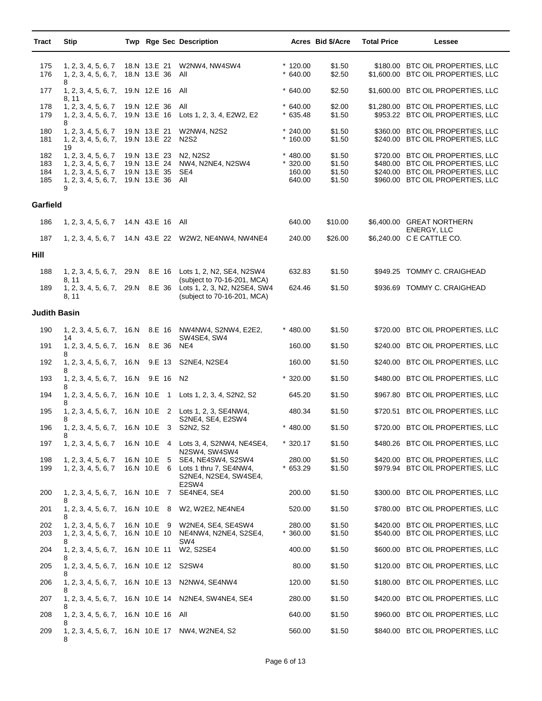| Tract                    | <b>Stip</b>                                                                                    |      |                                                              | Twp Rge Sec Description                                                                           |                                             | Acres Bid \$/Acre                    | <b>Total Price</b> | Lessee                                                                                                                                       |
|--------------------------|------------------------------------------------------------------------------------------------|------|--------------------------------------------------------------|---------------------------------------------------------------------------------------------------|---------------------------------------------|--------------------------------------|--------------------|----------------------------------------------------------------------------------------------------------------------------------------------|
| 175<br>176               | 1, 2, 3, 4, 5, 6, 7<br>1, 2, 3, 4, 5, 6, 7,                                                    |      | 18.N 13.E 21<br>18.N 13.E 36                                 | W2NW4, NW4SW4<br>All                                                                              | $*120.00$<br>$*640.00$                      | \$1.50<br>\$2.50                     |                    | \$180.00 BTC OIL PROPERTIES, LLC<br>\$1,600.00 BTC OIL PROPERTIES, LLC                                                                       |
| 177                      | 8<br>1, 2, 3, 4, 5, 6, 7,                                                                      |      | 19.N 12.E 16                                                 | All                                                                                               | $*640.00$                                   | \$2.50                               |                    | \$1,600.00 BTC OIL PROPERTIES, LLC                                                                                                           |
| 178<br>179               | 8, 11<br>1, 2, 3, 4, 5, 6, 7<br>1, 2, 3, 4, 5, 6, 7,                                           |      | 19.N 12.E 36<br>19.N 13.E 16                                 | All<br>Lots 1, 2, 3, 4, E2W2, E2                                                                  | $*640.00$<br>$*635.48$                      | \$2.00<br>\$1.50                     |                    | \$1,280.00 BTC OIL PROPERTIES, LLC<br>\$953.22 BTC OIL PROPERTIES, LLC                                                                       |
| 180<br>181               | 8<br>1, 2, 3, 4, 5, 6, 7<br>1, 2, 3, 4, 5, 6, 7,<br>19                                         |      | 19.N 13.E 21<br>19.N 13.E 22                                 | <b>W2NW4, N2S2</b><br><b>N2S2</b>                                                                 | $*240.00$<br>$*160.00$                      | \$1.50<br>\$1.50                     |                    | \$360.00 BTC OIL PROPERTIES, LLC<br>\$240.00 BTC OIL PROPERTIES, LLC                                                                         |
| 182<br>183<br>184<br>185 | 1, 2, 3, 4, 5, 6, 7<br>1, 2, 3, 4, 5, 6, 7<br>1, 2, 3, 4, 5, 6, 7<br>1, 2, 3, 4, 5, 6, 7,<br>9 |      | 19.N 13.E 23<br>19.N 13.E 24<br>19.N 13.E 35<br>19.N 13.E 36 | N <sub>2</sub> , N <sub>2</sub> S <sub>2</sub><br>NW4, N2NE4, N2SW4<br>SE4<br>All                 | $* 480.00$<br>$*320.00$<br>160.00<br>640.00 | \$1.50<br>\$1.50<br>\$1.50<br>\$1.50 |                    | \$720.00 BTC OIL PROPERTIES, LLC<br>\$480.00 BTC OIL PROPERTIES, LLC<br>\$240.00 BTC OIL PROPERTIES, LLC<br>\$960.00 BTC OIL PROPERTIES, LLC |
| Garfield                 |                                                                                                |      |                                                              |                                                                                                   |                                             |                                      |                    |                                                                                                                                              |
| 186                      | 1, 2, 3, 4, 5, 6, 7                                                                            |      | 14.N 43.E 16 All                                             |                                                                                                   | 640.00                                      | \$10.00                              |                    | \$6,400.00 GREAT NORTHERN                                                                                                                    |
| 187                      | 1, 2, 3, 4, 5, 6, 7                                                                            |      |                                                              | 14.N 43.E 22 W2W2, NE4NW4, NW4NE4                                                                 | 240.00                                      | \$26.00                              |                    | ENERGY, LLC<br>\$6,240.00 C E CATTLE CO.                                                                                                     |
| Hill                     |                                                                                                |      |                                                              |                                                                                                   |                                             |                                      |                    |                                                                                                                                              |
| 188                      | 1, 2, 3, 4, 5, 6, 7,                                                                           | 29.N |                                                              | 8.E 16 Lots 1, 2, N2, SE4, N2SW4                                                                  | 632.83                                      | \$1.50                               |                    | \$949.25 TOMMY C. CRAIGHEAD                                                                                                                  |
| 189                      | 8, 11<br>1, 2, 3, 4, 5, 6, 7,<br>8, 11                                                         | 29.N |                                                              | (subject to 70-16-201, MCA)<br>8.E 36 Lots 1, 2, 3, N2, N2SE4, SW4<br>(subject to 70-16-201, MCA) | 624.46                                      | \$1.50                               |                    | \$936.69 TOMMY C. CRAIGHEAD                                                                                                                  |
| Judith Basin             |                                                                                                |      |                                                              |                                                                                                   |                                             |                                      |                    |                                                                                                                                              |
| 190                      | 1, 2, 3, 4, 5, 6, 7,                                                                           | 16.N |                                                              | 8.E 16 NW4NW4, S2NW4, E2E2,                                                                       | $*$ 480.00                                  | \$1.50                               |                    | \$720.00 BTC OIL PROPERTIES, LLC                                                                                                             |
| 191                      | 14<br>1, 2, 3, 4, 5, 6, 7,<br>8                                                                | 16.N | 8.E 36                                                       | SW4SE4, SW4<br>NE4                                                                                | 160.00                                      | \$1.50                               |                    | \$240.00 BTC OIL PROPERTIES, LLC                                                                                                             |
| 192                      | 1, 2, 3, 4, 5, 6, 7,<br>8                                                                      | 16.N | 9.E 13                                                       | S2NE4, N2SE4                                                                                      | 160.00                                      | \$1.50                               |                    | \$240.00 BTC OIL PROPERTIES, LLC                                                                                                             |
| 193                      | 1, 2, 3, 4, 5, 6, 7,<br>8                                                                      | 16.N | 9.E 16 N2                                                    |                                                                                                   | $*320.00$                                   | \$1.50                               |                    | \$480.00 BTC OIL PROPERTIES, LLC                                                                                                             |
| 194                      | 1, 2, 3, 4, 5, 6, 7,<br>8                                                                      |      |                                                              | 16.N 10.E 1 Lots 1, 2, 3, 4, S2N2, S2                                                             | 645.20                                      | \$1.50                               |                    | \$967.80 BTC OIL PROPERTIES, LLC                                                                                                             |
| 195                      |                                                                                                |      |                                                              | 1, 2, 3, 4, 5, 6, 7, 16.N 10.E 2 Lots 1, 2, 3, SE4NW4,<br>S2NE4, SE4, E2SW4                       | 480.34                                      | \$1.50                               |                    | \$720.51 BTC OIL PROPERTIES, LLC                                                                                                             |
| 196                      | 1, 2, 3, 4, 5, 6, 7, 16.N 10.E 3 S2N2, S2<br>8                                                 |      |                                                              |                                                                                                   | $*480.00$                                   | \$1.50                               |                    | \$720.00 BTC OIL PROPERTIES, LLC                                                                                                             |
| 197                      | 1, 2, 3, 4, 5, 6, 7                                                                            |      |                                                              | 16.N 10.E 4 Lots 3, 4, S2NW4, NE4SE4,<br>N2SW4, SW4SW4                                            | $*320.17$                                   | \$1.50                               |                    | \$480.26 BTC OIL PROPERTIES, LLC                                                                                                             |
| 198<br>199               | 1, 2, 3, 4, 5, 6, 7<br>1, 2, 3, 4, 5, 6, 7                                                     |      | 16.N 10.E 5<br>16.N 10.E 6                                   | SE4, NE4SW4, S2SW4<br>Lots 1 thru 7, SE4NW4,<br>S2NE4, N2SE4, SW4SE4,                             | 280.00<br>$*653.29$                         | \$1.50<br>\$1.50                     |                    | \$420.00 BTC OIL PROPERTIES, LLC<br>\$979.94 BTC OIL PROPERTIES, LLC                                                                         |
| 200                      | 1, 2, 3, 4, 5, 6, 7,                                                                           |      |                                                              | E2SW4<br>16.N 10.E 7 SE4NE4, SE4                                                                  | 200.00                                      | \$1.50                               |                    | \$300.00 BTC OIL PROPERTIES, LLC                                                                                                             |
| 201                      | 8<br>1, 2, 3, 4, 5, 6, 7,<br>8                                                                 |      | 16.N 10.E 8                                                  | W2, W2E2, NE4NE4                                                                                  | 520.00                                      | \$1.50                               |                    | \$780.00 BTC OIL PROPERTIES, LLC                                                                                                             |
| 202<br>203               | 1, 2, 3, 4, 5, 6, 7<br>1, 2, 3, 4, 5, 6, 7,<br>8                                               |      | 16.N 10.E 9<br>16.N 10.E 10                                  | W2NE4, SE4, SE4SW4<br>NE4NW4, N2NE4, S2SE4,<br>SW4                                                | 280.00<br>360.00                            | \$1.50<br>\$1.50                     |                    | \$420.00 BTC OIL PROPERTIES, LLC<br>\$540.00 BTC OIL PROPERTIES, LLC                                                                         |
| 204                      | 1, 2, 3, 4, 5, 6, 7,<br>8                                                                      |      | 16.N 10.E 11                                                 | W2, S2SE4                                                                                         | 400.00                                      | \$1.50                               |                    | \$600.00 BTC OIL PROPERTIES, LLC                                                                                                             |
| 205                      | 1, 2, 3, 4, 5, 6, 7,<br>8                                                                      |      | 16.N 10.E 12                                                 | S2SW4                                                                                             | 80.00                                       | \$1.50                               |                    | \$120.00 BTC OIL PROPERTIES, LLC                                                                                                             |
| 206                      | 1, 2, 3, 4, 5, 6, 7,<br>8                                                                      |      | 16.N 10.E 13                                                 | N2NW4, SE4NW4                                                                                     | 120.00                                      | \$1.50                               |                    | \$180.00 BTC OIL PROPERTIES, LLC                                                                                                             |
| 207                      | 1, 2, 3, 4, 5, 6, 7,                                                                           |      | 16.N 10.E 14                                                 | N2NE4, SW4NE4, SE4                                                                                | 280.00                                      | \$1.50                               |                    | \$420.00 BTC OIL PROPERTIES, LLC                                                                                                             |
| 208                      | 1, 2, 3, 4, 5, 6, 7,<br>8                                                                      |      | 16.N 10.E 16 All                                             |                                                                                                   | 640.00                                      | \$1.50                               |                    | \$960.00 BTC OIL PROPERTIES, LLC                                                                                                             |
| 209                      |                                                                                                |      |                                                              | 1, 2, 3, 4, 5, 6, 7, 16.N 10.E 17 NW4, W2NE4, S2                                                  | 560.00                                      | \$1.50                               |                    | \$840.00 BTC OIL PROPERTIES, LLC                                                                                                             |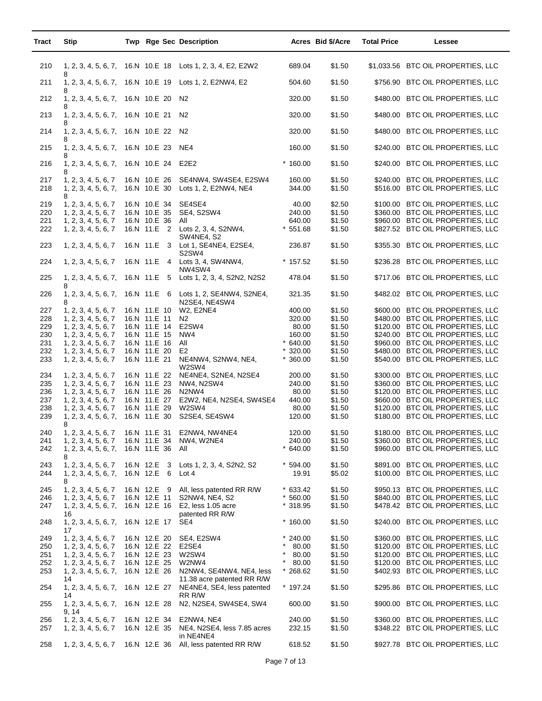| Tract      | <b>Stip</b>                                        |                                     | Twp Rge Sec Description                                                              |                        | Acres Bid \$/Acre | <b>Total Price</b> | Lessee                                                               |
|------------|----------------------------------------------------|-------------------------------------|--------------------------------------------------------------------------------------|------------------------|-------------------|--------------------|----------------------------------------------------------------------|
| 210        | 1, 2, 3, 4, 5, 6, 7,                               |                                     | 16.N 10.E 18 Lots 1, 2, 3, 4, E2, E2W2                                               | 689.04                 | \$1.50            |                    | \$1,033.56 BTC OIL PROPERTIES, LLC                                   |
| 211        | 8<br>1, 2, 3, 4, 5, 6, 7,                          |                                     | 16.N 10.E 19 Lots 1, 2, E2NW4, E2                                                    | 504.60                 | \$1.50            |                    | \$756.90 BTC OIL PROPERTIES, LLC                                     |
| 212        | 8<br>1, 2, 3, 4, 5, 6, 7,                          | 16.N 10.E 20                        | <b>N2</b>                                                                            | 320.00                 | \$1.50            |                    | \$480.00 BTC OIL PROPERTIES, LLC                                     |
| 213        | 8<br>1, 2, 3, 4, 5, 6, 7,<br>8                     | 16.N 10.E 21 N2                     |                                                                                      | 320.00                 | \$1.50            |                    | \$480.00 BTC OIL PROPERTIES, LLC                                     |
| 214        | 1, 2, 3, 4, 5, 6, 7,<br>8                          | 16.N 10.E 22 N2                     |                                                                                      | 320.00                 | \$1.50            |                    | \$480.00 BTC OIL PROPERTIES, LLC                                     |
| 215        | 1, 2, 3, 4, 5, 6, 7,<br>8                          | 16.N 10.E 23 NE4                    |                                                                                      | 160.00                 | \$1.50            |                    | \$240.00 BTC OIL PROPERTIES, LLC                                     |
| 216        | 1, 2, 3, 4, 5, 6, 7,<br>8                          | 16.N 10.E 24 E2E2                   |                                                                                      | $*160.00$              | \$1.50            |                    | \$240.00 BTC OIL PROPERTIES, LLC                                     |
| 217<br>218 | 1, 2, 3, 4, 5, 6, 7<br>1, 2, 3, 4, 5, 6, 7,<br>8   | 16.N 10.E 26<br>16.N 10.E 30        | SE4NW4, SW4SE4, E2SW4<br>Lots 1, 2, E2NW4, NE4                                       | 160.00<br>344.00       | \$1.50<br>\$1.50  |                    | \$240.00 BTC OIL PROPERTIES, LLC<br>\$516.00 BTC OIL PROPERTIES, LLC |
| 219<br>220 | 1, 2, 3, 4, 5, 6, 7<br>1, 2, 3, 4, 5, 6, 7         | 16.N 10.E 34                        | SE4SE4<br>16.N 10.E 35 SE4, S2SW4                                                    | 40.00<br>240.00        | \$2.50<br>\$1.50  |                    | \$100.00 BTC OIL PROPERTIES, LLC<br>\$360.00 BTC OIL PROPERTIES, LLC |
| 221        | 1, 2, 3, 4, 5, 6, 7                                | 16.N 10.E 36                        | All                                                                                  | 640.00                 | \$1.50            |                    | \$960.00 BTC OIL PROPERTIES, LLC                                     |
| 222        | 1, 2, 3, 4, 5, 6, 7                                |                                     | 16.N 11.E 2 Lots 2, 3, 4, S2NW4,<br><b>SW4NE4, S2</b>                                | $*551.68$              | \$1.50            |                    | \$827.52 BTC OIL PROPERTIES, LLC                                     |
| 223        | 1, 2, 3, 4, 5, 6, 7                                |                                     | 16.N 11.E 3 Lot 1, SE4NE4, E2SE4,<br>S2SW4                                           | 236.87                 | \$1.50            |                    | \$355.30 BTC OIL PROPERTIES, LLC                                     |
| 224        | 1, 2, 3, 4, 5, 6, 7                                |                                     | 16.N 11.E 4 Lots 3, 4, SW4NW4,<br>NW4SW4                                             | $*157.52$              | \$1.50            |                    | \$236.28 BTC OIL PROPERTIES, LLC                                     |
| 225        | 1, 2, 3, 4, 5, 6, 7,<br>8                          | 16.N 11.E 5                         | Lots 1, 2, 3, 4, S2N2, N2S2                                                          | 478.04                 | \$1.50            |                    | \$717.06 BTC OIL PROPERTIES, LLC                                     |
| 226        | 1, 2, 3, 4, 5, 6, 7,<br>8                          |                                     | 16.N 11.E 6 Lots 1, 2, SE4NW4, S2NE4,<br>N2SE4, NE4SW4                               | 321.35                 | \$1.50            |                    | \$482.02 BTC OIL PROPERTIES, LLC                                     |
| 227<br>228 | 1, 2, 3, 4, 5, 6, 7<br>1, 2, 3, 4, 5, 6, 7         | 16.N 11.E 10<br>16.N 11.E 11        | W2, E2NE4<br>N2                                                                      | 400.00<br>320.00       | \$1.50<br>\$1.50  |                    | \$600.00 BTC OIL PROPERTIES, LLC<br>\$480.00 BTC OIL PROPERTIES, LLC |
| 229        | 1, 2, 3, 4, 5, 6, 7                                | 16.N 11.E 14                        | E2SW4                                                                                | 80.00                  | \$1.50            |                    | \$120.00 BTC OIL PROPERTIES, LLC                                     |
| 230        | 1, 2, 3, 4, 5, 6, 7                                | 16.N 11.E 15                        | NW4                                                                                  | 160.00                 | \$1.50            |                    | \$240.00 BTC OIL PROPERTIES, LLC                                     |
| 231        | 1, 2, 3, 4, 5, 6, 7                                | 16.N 11.E 16                        | All                                                                                  | $*640.00$              | \$1.50            |                    | \$960.00 BTC OIL PROPERTIES, LLC                                     |
| 232<br>233 | 1, 2, 3, 4, 5, 6, 7<br>1, 2, 3, 4, 5, 6, 7         | 16.N 11.E 20<br>16.N 11.E 21        | E <sub>2</sub><br>NE4NW4, S2NW4, NE4,<br>W2SW4                                       | $*320.00$<br>$*360.00$ | \$1.50<br>\$1.50  |                    | \$480.00 BTC OIL PROPERTIES, LLC<br>\$540.00 BTC OIL PROPERTIES, LLC |
| 234        | 1, 2, 3, 4, 5, 6, 7                                | 16.N 11.E 22                        | NE4NE4, S2NE4, N2SE4                                                                 | 200.00                 | \$1.50            |                    | \$300.00 BTC OIL PROPERTIES, LLC                                     |
| 235        | 1, 2, 3, 4, 5, 6, 7                                | 16.N 11.E 23                        | NW4, N2SW4                                                                           | 240.00                 | \$1.50            |                    | \$360.00 BTC OIL PROPERTIES, LLC                                     |
| 236        | 1, 2, 3, 4, 5, 6, 7                                | 16.N 11.E 26                        | N2NW4                                                                                | 80.00                  | \$1.50            |                    | \$120.00 BTC OIL PROPERTIES, LLC                                     |
| 237        | 1, 2, 3, 4, 5, 6, 7                                | 16.N 11.E 27                        | E2W2, NE4, N2SE4, SW4SE4                                                             | 440.00                 | \$1.50            |                    | \$660.00 BTC OIL PROPERTIES, LLC                                     |
| 238        | 1, 2, 3, 4, 5, 6, 7                                | 16.N 11.E 29                        | W2SW4                                                                                | 80.00                  | \$1.50            |                    | \$120.00 BTC OIL PROPERTIES, LLC                                     |
| 239<br>240 | 1, 2, 3, 4, 5, 6, 7,<br>8                          | 16.N 11.E 30                        | S2SE4, SE4SW4                                                                        | 120.00<br>120.00       | \$1.50            |                    | \$180.00 BTC OIL PROPERTIES, LLC<br>\$180.00 BTC OIL PROPERTIES, LLC |
| 241        | 1, 2, 3, 4, 5, 6, 7<br>1, 2, 3, 4, 5, 6, 7         | 16.N 11.E 34                        | 16.N 11.E 31 E2NW4, NW4NE4<br>NW4, W2NE4                                             | 240.00                 | \$1.50<br>\$1.50  |                    | \$360.00 BTC OIL PROPERTIES, LLC                                     |
| 242        | 1, 2, 3, 4, 5, 6, 7,<br>8                          | 16.N 11.E 36                        | All                                                                                  | $*640.00$              | \$1.50            |                    | \$960.00 BTC OIL PROPERTIES, LLC                                     |
| 243<br>244 | 1, 2, 3, 4, 5, 6, 7<br>1, 2, 3, 4, 5, 6, 7,<br>8   | 16.N 12.E<br>-3<br>16.N 12.E<br>- 6 | Lots 1, 2, 3, 4, S2N2, S2<br>Lot $4$                                                 | $*594.00$<br>19.91     | \$1.50<br>\$5.02  |                    | \$891.00 BTC OIL PROPERTIES, LLC<br>\$100.00 BTC OIL PROPERTIES, LLC |
| 245        | 1, 2, 3, 4, 5, 6, 7                                | 16.N 12.E 9                         | All, less patented RR R/W                                                            | $*633.42$              | \$1.50            |                    | \$950.13 BTC OIL PROPERTIES, LLC                                     |
| 246        | 1, 2, 3, 4, 5, 6, 7                                | 16.N 12.E 11                        | S2NW4, NE4, S2                                                                       | $*560.00$              | \$1.50            |                    | \$840.00 BTC OIL PROPERTIES, LLC                                     |
| 247        | 1, 2, 3, 4, 5, 6, 7,                               | 16.N 12.E 16                        | E2, less 1.05 acre                                                                   | $*318.95$              | \$1.50            |                    | \$478.42 BTC OIL PROPERTIES, LLC                                     |
| 248        | 16<br>1, 2, 3, 4, 5, 6, 7,<br>17                   | 16.N 12.E 17                        | patented RR R/W<br>SE4                                                               | $*160.00$              | \$1.50            |                    | \$240.00 BTC OIL PROPERTIES, LLC                                     |
| 249        | 1, 2, 3, 4, 5, 6, 7                                | 16.N 12.E 20                        | SE4, E2SW4                                                                           | $*240.00$              | \$1.50            |                    | \$360.00 BTC OIL PROPERTIES, LLC                                     |
| 250        | 1, 2, 3, 4, 5, 6, 7                                | 16.N 12.E 22                        | E2SE4                                                                                | $\star$<br>80.00       | \$1.50            |                    | \$120.00 BTC OIL PROPERTIES, LLC                                     |
| 251        | 1, 2, 3, 4, 5, 6, 7                                | 16.N 12.E 23                        | W2SW4                                                                                | 80.00                  | \$1.50            |                    | \$120.00 BTC OIL PROPERTIES, LLC                                     |
| 252        | 1, 2, 3, 4, 5, 6, 7                                | 16.N 12.E 25                        | W2NW4                                                                                | $\ast$<br>80.00        | \$1.50            |                    | \$120.00 BTC OIL PROPERTIES, LLC                                     |
| 253<br>254 | 1, 2, 3, 4, 5, 6, 7,<br>14<br>1, 2, 3, 4, 5, 6, 7, | 16.N 12.E 26<br>16.N 12.E 27        | N2NW4, SE4NW4, NE4, less<br>11.38 acre patented RR R/W<br>NE4NE4, SE4, less patented | * 268.62<br>* 197.24   | \$1.50<br>\$1.50  |                    | \$402.93 BTC OIL PROPERTIES, LLC<br>\$295.86 BTC OIL PROPERTIES, LLC |
|            | 14                                                 |                                     | RR R/W                                                                               |                        |                   |                    |                                                                      |
| 255        | 1, 2, 3, 4, 5, 6, 7,<br>9, 14                      | 16.N 12.E 28                        | N2, N2SE4, SW4SE4, SW4                                                               | 600.00                 | \$1.50            |                    | \$900.00 BTC OIL PROPERTIES, LLC                                     |
| 256<br>257 | 1, 2, 3, 4, 5, 6, 7<br>1, 2, 3, 4, 5, 6, 7         | 16.N 12.E 34<br>16.N 12.E 35        | E2NW4, NE4<br>NE4, N2SE4, less 7.85 acres                                            | 240.00<br>232.15       | \$1.50<br>\$1.50  |                    | \$360.00 BTC OIL PROPERTIES, LLC<br>\$348.22 BTC OIL PROPERTIES, LLC |
| 258        | 1, 2, 3, 4, 5, 6, 7                                | 16.N 12.E 36                        | in NE4NE4<br>All, less patented RR R/W                                               | 618.52                 | \$1.50            |                    | \$927.78 BTC OIL PROPERTIES, LLC                                     |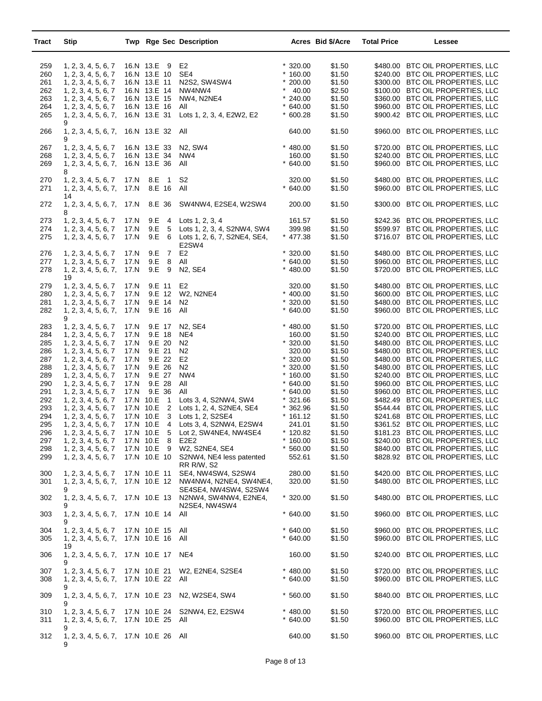| Tract                                                                                                                                                  | Stip                                                                                                                                                                                                                                                                                                                                                                                                                                                                                                                                     |                                                                      |                                                                                                                                                                                                                                                                | <b>Twp Rge Sec Description</b>                                                                                                                                                                                                                                                                                                                                                                                                                                                        |                                                                                                                                                                                                                                                                           | Acres Bid \$/Acre                                                                                                                                                                                                        | <b>Total Price</b> | Lessee                                                                                                                                                                                                                                                                                                                                                                                                                                                                                                                                                                                                                                                                                                                                                                                                               |
|--------------------------------------------------------------------------------------------------------------------------------------------------------|------------------------------------------------------------------------------------------------------------------------------------------------------------------------------------------------------------------------------------------------------------------------------------------------------------------------------------------------------------------------------------------------------------------------------------------------------------------------------------------------------------------------------------------|----------------------------------------------------------------------|----------------------------------------------------------------------------------------------------------------------------------------------------------------------------------------------------------------------------------------------------------------|---------------------------------------------------------------------------------------------------------------------------------------------------------------------------------------------------------------------------------------------------------------------------------------------------------------------------------------------------------------------------------------------------------------------------------------------------------------------------------------|---------------------------------------------------------------------------------------------------------------------------------------------------------------------------------------------------------------------------------------------------------------------------|--------------------------------------------------------------------------------------------------------------------------------------------------------------------------------------------------------------------------|--------------------|----------------------------------------------------------------------------------------------------------------------------------------------------------------------------------------------------------------------------------------------------------------------------------------------------------------------------------------------------------------------------------------------------------------------------------------------------------------------------------------------------------------------------------------------------------------------------------------------------------------------------------------------------------------------------------------------------------------------------------------------------------------------------------------------------------------------|
| 259<br>260<br>261<br>262<br>263<br>264<br>265                                                                                                          | 1, 2, 3, 4, 5, 6, 7<br>1, 2, 3, 4, 5, 6, 7<br>1, 2, 3, 4, 5, 6, 7<br>1, 2, 3, 4, 5, 6, 7<br>1, 2, 3, 4, 5, 6, 7<br>1, 2, 3, 4, 5, 6, 7<br>1, 2, 3, 4, 5, 6, 7,                                                                                                                                                                                                                                                                                                                                                                           |                                                                      | 16.N 13.E 9<br>16.N 13.E 10<br>16.N 13.E 11<br>16.N 13.E 14<br>16.N 13.E 15<br>16.N 13.E 16<br>16.N 13.E 31                                                                                                                                                    | E2<br>SE4<br>N2S2, SW4SW4<br>NW4NW4<br>NW4, N2NE4<br>All<br>Lots 1, 2, 3, 4, E2W2, E2                                                                                                                                                                                                                                                                                                                                                                                                 | $*320.00$<br>$*160.00$<br>$*200.00$<br>$*$ 40.00<br>$*240.00$<br>$*640.00$<br>$*600.28$                                                                                                                                                                                   | \$1.50<br>\$1.50<br>\$1.50<br>\$2.50<br>\$1.50<br>\$1.50<br>\$1.50                                                                                                                                                       |                    | \$480.00 BTC OIL PROPERTIES, LLC<br>\$240.00 BTC OIL PROPERTIES, LLC<br>\$300.00 BTC OIL PROPERTIES, LLC<br>\$100.00 BTC OIL PROPERTIES, LLC<br>\$360.00 BTC OIL PROPERTIES, LLC<br>\$960.00 BTC OIL PROPERTIES, LLC<br>\$900.42 BTC OIL PROPERTIES, LLC                                                                                                                                                                                                                                                                                                                                                                                                                                                                                                                                                             |
| 266                                                                                                                                                    | 9<br>1, 2, 3, 4, 5, 6, 7,<br>9                                                                                                                                                                                                                                                                                                                                                                                                                                                                                                           |                                                                      | 16.N 13.E 32 All                                                                                                                                                                                                                                               |                                                                                                                                                                                                                                                                                                                                                                                                                                                                                       | 640.00                                                                                                                                                                                                                                                                    | \$1.50                                                                                                                                                                                                                   |                    | \$960.00 BTC OIL PROPERTIES, LLC                                                                                                                                                                                                                                                                                                                                                                                                                                                                                                                                                                                                                                                                                                                                                                                     |
| 267<br>268<br>269                                                                                                                                      | 1, 2, 3, 4, 5, 6, 7<br>1, 2, 3, 4, 5, 6, 7<br>1, 2, 3, 4, 5, 6, 7,<br>8                                                                                                                                                                                                                                                                                                                                                                                                                                                                  |                                                                      | 16.N 13.E 33<br>16.N 13.E 34<br>16.N 13.E 36                                                                                                                                                                                                                   | N <sub>2</sub> , S <sub>W</sub> 4<br>NW4<br>All                                                                                                                                                                                                                                                                                                                                                                                                                                       | $* 480.00$<br>160.00<br>$*640.00$                                                                                                                                                                                                                                         | \$1.50<br>\$1.50<br>\$1.50                                                                                                                                                                                               |                    | \$720.00 BTC OIL PROPERTIES, LLC<br>\$240.00 BTC OIL PROPERTIES, LLC<br>\$960.00 BTC OIL PROPERTIES, LLC                                                                                                                                                                                                                                                                                                                                                                                                                                                                                                                                                                                                                                                                                                             |
| 270<br>271                                                                                                                                             | 1, 2, 3, 4, 5, 6, 7<br>1, 2, 3, 4, 5, 6, 7,                                                                                                                                                                                                                                                                                                                                                                                                                                                                                              | 17.N<br>17.N                                                         | 8.E<br>1 S2<br>8.E 16 All                                                                                                                                                                                                                                      |                                                                                                                                                                                                                                                                                                                                                                                                                                                                                       | 320.00<br>$*640.00$                                                                                                                                                                                                                                                       | \$1.50<br>\$1.50                                                                                                                                                                                                         |                    | \$480.00 BTC OIL PROPERTIES, LLC<br>\$960.00 BTC OIL PROPERTIES, LLC                                                                                                                                                                                                                                                                                                                                                                                                                                                                                                                                                                                                                                                                                                                                                 |
| 272                                                                                                                                                    | 14<br>1, 2, 3, 4, 5, 6, 7,<br>8                                                                                                                                                                                                                                                                                                                                                                                                                                                                                                          | 17.N                                                                 |                                                                                                                                                                                                                                                                | 8.E 36 SW4NW4, E2SE4, W2SW4                                                                                                                                                                                                                                                                                                                                                                                                                                                           | 200.00                                                                                                                                                                                                                                                                    | \$1.50                                                                                                                                                                                                                   |                    | \$300.00 BTC OIL PROPERTIES, LLC                                                                                                                                                                                                                                                                                                                                                                                                                                                                                                                                                                                                                                                                                                                                                                                     |
| 273<br>274<br>275                                                                                                                                      | 1, 2, 3, 4, 5, 6, 7<br>1, 2, 3, 4, 5, 6, 7<br>1, 2, 3, 4, 5, 6, 7                                                                                                                                                                                                                                                                                                                                                                                                                                                                        | 17.N<br>17.N<br>17.N                                                 | 9.E                                                                                                                                                                                                                                                            | 9.E 4 Lots 1, 2, 3, 4<br>9.E 5 Lots 1, 2, 3, 4, S2NW4, SW4<br>6 Lots 1, 2, 6, 7, S2NE4, SE4,<br>E2SW4                                                                                                                                                                                                                                                                                                                                                                                 | 161.57<br>399.98<br>$*$ 477.38                                                                                                                                                                                                                                            | \$1.50<br>\$1.50<br>\$1.50                                                                                                                                                                                               |                    | \$242.36 BTC OIL PROPERTIES, LLC<br>\$599.97 BTC OIL PROPERTIES, LLC<br>\$716.07 BTC OIL PROPERTIES, LLC                                                                                                                                                                                                                                                                                                                                                                                                                                                                                                                                                                                                                                                                                                             |
| 276<br>277                                                                                                                                             | 1, 2, 3, 4, 5, 6, 7<br>1, 2, 3, 4, 5, 6, 7                                                                                                                                                                                                                                                                                                                                                                                                                                                                                               | 17.N<br>17.N                                                         | 9.E<br>$\overline{7}$<br>8<br>9.E                                                                                                                                                                                                                              | E2<br>All                                                                                                                                                                                                                                                                                                                                                                                                                                                                             | $*320.00$<br>$*640.00$                                                                                                                                                                                                                                                    | \$1.50<br>\$1.50                                                                                                                                                                                                         |                    | \$480.00 BTC OIL PROPERTIES, LLC<br>\$960.00 BTC OIL PROPERTIES, LLC                                                                                                                                                                                                                                                                                                                                                                                                                                                                                                                                                                                                                                                                                                                                                 |
| 278                                                                                                                                                    | 1, 2, 3, 4, 5, 6, 7,<br>19                                                                                                                                                                                                                                                                                                                                                                                                                                                                                                               | 17.N                                                                 | $9.E$ 9                                                                                                                                                                                                                                                        | N2, SE4                                                                                                                                                                                                                                                                                                                                                                                                                                                                               | $* 480.00$                                                                                                                                                                                                                                                                | \$1.50                                                                                                                                                                                                                   |                    | \$720.00 BTC OIL PROPERTIES, LLC                                                                                                                                                                                                                                                                                                                                                                                                                                                                                                                                                                                                                                                                                                                                                                                     |
| 279<br>280<br>281<br>282                                                                                                                               | 1, 2, 3, 4, 5, 6, 7<br>1, 2, 3, 4, 5, 6, 7<br>1, 2, 3, 4, 5, 6, 7<br>1, 2, 3, 4, 5, 6, 7,<br>9                                                                                                                                                                                                                                                                                                                                                                                                                                           | 17.N<br>17.N<br>17.N<br>17.N                                         | 9.E 11<br>9.E 12<br>9.E 14<br>9.E 16                                                                                                                                                                                                                           | E2<br>W2, N2NE4<br>N <sub>2</sub><br>All                                                                                                                                                                                                                                                                                                                                                                                                                                              | 320.00<br>$* 400.00$<br>$*320.00$<br>$*640.00$                                                                                                                                                                                                                            | \$1.50<br>\$1.50<br>\$1.50<br>\$1.50                                                                                                                                                                                     |                    | \$480.00 BTC OIL PROPERTIES, LLC<br>\$600.00 BTC OIL PROPERTIES, LLC<br>\$480.00 BTC OIL PROPERTIES, LLC<br>\$960.00 BTC OIL PROPERTIES, LLC                                                                                                                                                                                                                                                                                                                                                                                                                                                                                                                                                                                                                                                                         |
| 283<br>284<br>285<br>286<br>287<br>288<br>289<br>290<br>291<br>292<br>293<br>294<br>295<br>296<br>297<br>298<br>299<br>300<br>301<br>302<br>303<br>304 | 1, 2, 3, 4, 5, 6, 7<br>1, 2, 3, 4, 5, 6, 7<br>1, 2, 3, 4, 5, 6, 7<br>1, 2, 3, 4, 5, 6, 7<br>1, 2, 3, 4, 5, 6, 7<br>1, 2, 3, 4, 5, 6, 7<br>1, 2, 3, 4, 5, 6, 7<br>1, 2, 3, 4, 5, 6, 7<br>1, 2, 3, 4, 5, 6, 7<br>1, 2, 3, 4, 5, 6, 7<br>1, 2, 3, 4, 5, 6, 7<br>1, 2, 3, 4, 5, 6, 7<br>1, 2, 3, 4, 5, 6, 7<br>1, 2, 3, 4, 5, 6, 7<br>1, 2, 3, 4, 5, 6, 7<br>1, 2, 3, 4, 5, 6, 7<br>1, 2, 3, 4, 5, 6, 7<br>1, 2, 3, 4, 5, 6, 7<br>1, 2, 3, 4, 5, 6, 7,<br>9<br>1, 2, 3, 4, 5, 6, 7,<br>9<br>1, 2, 3, 4, 5, 6, 7,<br>9<br>1, 2, 3, 4, 5, 6, 7 | 17.N<br>17.N<br>17.N<br>17.N<br>17.N<br>17.N<br>17.N<br>17.N<br>17.N | 9.E 17<br>9.E 18<br>9.E 20<br>9.E 21<br>9.E 22<br>9.E 26<br>9.E 27<br>9.E 28 All<br>9.E 36<br>17.N 10.E 1<br>17.N 10.E 2<br>17.N 10.E 8<br>17.N 10.E 9<br>17.N 10.E 10<br>17.N 10.E 11<br>17.N 10.E 12<br>17.N 10.E 13<br>17.N 10.E 14 All<br>17.N 10.E 15 All | N2, SE4<br>NE4<br>N <sub>2</sub><br>N <sub>2</sub><br>E <sub>2</sub><br>N <sub>2</sub><br>NW4<br>All<br>Lots 3, 4, S2NW4, SW4<br>Lots 1, 2, 4, S2NE4, SE4<br>17.N 10.E 3 Lots 1, 2, S2SE4<br>17.N 10.E 4 Lots 3, 4, S2NW4, E2SW4<br>17.N 10.E 5 Lot 2, SW4NE4, NW4SE4<br>E <sub>2</sub> E <sub>2</sub><br>W2, S2NE4, SE4<br>S2NW4, NE4 less patented<br>RR R/W, S2<br>SE4, NW4SW4, S2SW4<br>NW4NW4, N2NE4, SW4NE4,<br>SE4SE4, NW4SW4, S2SW4<br>N2NW4, SW4NW4, E2NE4,<br>N2SE4, NW4SW4 | $* 480.00$<br>160.00<br>$*320.00$<br>320.00<br>$*320.00$<br>$*320.00$<br>$*160.00$<br>$*640.00$<br>$*640.00$<br>$*321.66$<br>$*362.96$<br>$*161.12$<br>241.01<br>$*120.82$<br>$*160.00$<br>$*560.00$<br>552.61<br>280.00<br>320.00<br>$*320.00$<br>$*640.00$<br>$*640.00$ | \$1.50<br>\$1.50<br>\$1.50<br>\$1.50<br>\$1.50<br>\$1.50<br>\$1.50<br>\$1.50<br>\$1.50<br>\$1.50<br>\$1.50<br>\$1.50<br>\$1.50<br>\$1.50<br>\$1.50<br>\$1.50<br>\$1.50<br>\$1.50<br>\$1.50<br>\$1.50<br>\$1.50<br>\$1.50 |                    | \$720.00 BTC OIL PROPERTIES, LLC<br>\$240.00 BTC OIL PROPERTIES, LLC<br>\$480.00 BTC OIL PROPERTIES, LLC<br>\$480.00 BTC OIL PROPERTIES, LLC<br>\$480.00 BTC OIL PROPERTIES, LLC<br>\$480.00 BTC OIL PROPERTIES, LLC<br>\$240.00 BTC OIL PROPERTIES, LLC<br>\$960.00 BTC OIL PROPERTIES, LLC<br>\$960.00 BTC OIL PROPERTIES, LLC<br>\$482.49 BTC OIL PROPERTIES, LLC<br>\$544.44 BTC OIL PROPERTIES, LLC<br>\$241.68 BTC OIL PROPERTIES, LLC<br>\$361.52 BTC OIL PROPERTIES, LLC<br>\$181.23 BTC OIL PROPERTIES, LLC<br>\$240.00 BTC OIL PROPERTIES, LLC<br>\$840.00 BTC OIL PROPERTIES, LLC<br>\$828.92 BTC OIL PROPERTIES, LLC<br>\$420.00 BTC OIL PROPERTIES, LLC<br>\$480.00 BTC OIL PROPERTIES, LLC<br>\$480.00 BTC OIL PROPERTIES, LLC<br>\$960.00 BTC OIL PROPERTIES, LLC<br>\$960.00 BTC OIL PROPERTIES, LLC |
| 305                                                                                                                                                    | 1, 2, 3, 4, 5, 6, 7,<br>19                                                                                                                                                                                                                                                                                                                                                                                                                                                                                                               |                                                                      | 17.N 10.E 16 All                                                                                                                                                                                                                                               |                                                                                                                                                                                                                                                                                                                                                                                                                                                                                       | $*640.00$                                                                                                                                                                                                                                                                 | \$1.50                                                                                                                                                                                                                   |                    | \$960.00 BTC OIL PROPERTIES, LLC                                                                                                                                                                                                                                                                                                                                                                                                                                                                                                                                                                                                                                                                                                                                                                                     |
| 306                                                                                                                                                    | 1, 2, 3, 4, 5, 6, 7,<br>9                                                                                                                                                                                                                                                                                                                                                                                                                                                                                                                |                                                                      | 17.N 10.E 17 NE4                                                                                                                                                                                                                                               |                                                                                                                                                                                                                                                                                                                                                                                                                                                                                       | 160.00                                                                                                                                                                                                                                                                    | \$1.50                                                                                                                                                                                                                   |                    | \$240.00 BTC OIL PROPERTIES, LLC                                                                                                                                                                                                                                                                                                                                                                                                                                                                                                                                                                                                                                                                                                                                                                                     |
| 307<br>308                                                                                                                                             | 1, 2, 3, 4, 5, 6, 7<br>1, 2, 3, 4, 5, 6, 7,<br>9                                                                                                                                                                                                                                                                                                                                                                                                                                                                                         |                                                                      | 17.N 10.E 22 All                                                                                                                                                                                                                                               | 17.N 10.E 21 W2, E2NE4, S2SE4                                                                                                                                                                                                                                                                                                                                                                                                                                                         | $* 480.00$<br>$*640.00$                                                                                                                                                                                                                                                   | \$1.50<br>\$1.50                                                                                                                                                                                                         |                    | \$720.00 BTC OIL PROPERTIES, LLC<br>\$960.00 BTC OIL PROPERTIES, LLC                                                                                                                                                                                                                                                                                                                                                                                                                                                                                                                                                                                                                                                                                                                                                 |
| 309                                                                                                                                                    | 1, 2, 3, 4, 5, 6, 7,<br>9                                                                                                                                                                                                                                                                                                                                                                                                                                                                                                                |                                                                      | 17.N 10.E 23                                                                                                                                                                                                                                                   | N2, W2SE4, SW4                                                                                                                                                                                                                                                                                                                                                                                                                                                                        | $*560.00$                                                                                                                                                                                                                                                                 | \$1.50                                                                                                                                                                                                                   |                    | \$840.00 BTC OIL PROPERTIES, LLC                                                                                                                                                                                                                                                                                                                                                                                                                                                                                                                                                                                                                                                                                                                                                                                     |
| 310<br>311                                                                                                                                             | 1, 2, 3, 4, 5, 6, 7<br>1, 2, 3, 4, 5, 6, 7,                                                                                                                                                                                                                                                                                                                                                                                                                                                                                              |                                                                      | 17.N 10.E 24<br>17.N 10.E 25 All                                                                                                                                                                                                                               | S2NW4, E2, E2SW4                                                                                                                                                                                                                                                                                                                                                                                                                                                                      | $* 480.00$<br>$*$ 640.00                                                                                                                                                                                                                                                  | \$1.50<br>\$1.50                                                                                                                                                                                                         |                    | \$720.00 BTC OIL PROPERTIES, LLC<br>\$960.00 BTC OIL PROPERTIES, LLC                                                                                                                                                                                                                                                                                                                                                                                                                                                                                                                                                                                                                                                                                                                                                 |
| 312                                                                                                                                                    | 9<br>1, 2, 3, 4, 5, 6, 7, 17.N 10.E 26 All<br>9                                                                                                                                                                                                                                                                                                                                                                                                                                                                                          |                                                                      |                                                                                                                                                                                                                                                                |                                                                                                                                                                                                                                                                                                                                                                                                                                                                                       | 640.00                                                                                                                                                                                                                                                                    | \$1.50                                                                                                                                                                                                                   |                    | \$960.00 BTC OIL PROPERTIES, LLC                                                                                                                                                                                                                                                                                                                                                                                                                                                                                                                                                                                                                                                                                                                                                                                     |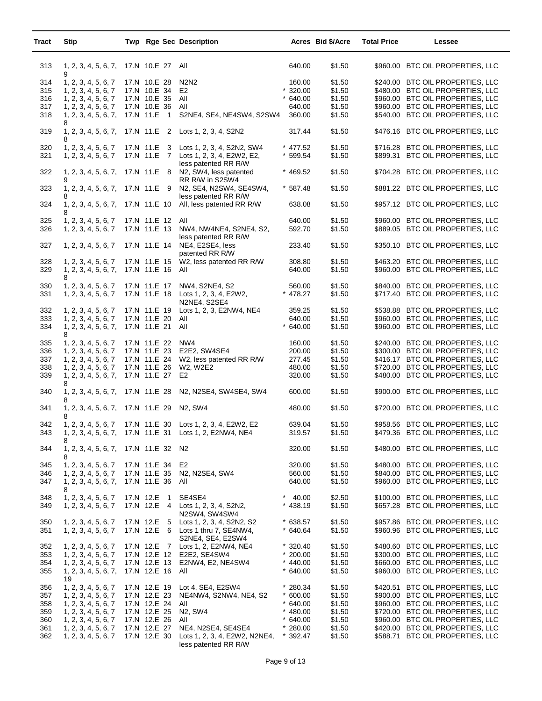| Tract                                         | <b>Stip</b>                                                                                                                                                   |                                                                                                              | Twp Rge Sec Description                                                                                                                             |                                                                                           | Acres Bid \$/Acre                                                  | <b>Total Price</b> | Lessee                                                                                                                                                                                                                                                   |
|-----------------------------------------------|---------------------------------------------------------------------------------------------------------------------------------------------------------------|--------------------------------------------------------------------------------------------------------------|-----------------------------------------------------------------------------------------------------------------------------------------------------|-------------------------------------------------------------------------------------------|--------------------------------------------------------------------|--------------------|----------------------------------------------------------------------------------------------------------------------------------------------------------------------------------------------------------------------------------------------------------|
| 313                                           | 1, 2, 3, 4, 5, 6, 7,<br>9                                                                                                                                     | 17.N 10.E 27 All                                                                                             |                                                                                                                                                     | 640.00                                                                                    | \$1.50                                                             |                    | \$960.00 BTC OIL PROPERTIES, LLC                                                                                                                                                                                                                         |
| 314<br>315<br>316<br>317<br>318               | 1, 2, 3, 4, 5, 6, 7<br>1, 2, 3, 4, 5, 6, 7<br>1, 2, 3, 4, 5, 6, 7<br>1, 2, 3, 4, 5, 6, 7<br>1, 2, 3, 4, 5, 6, 7,                                              | 17.N 10.E 28<br>17.N 10.E 34<br>17.N 10.E 35<br>17.N 10.E 36<br>17.N 11.E 1                                  | N2N2<br>E <sub>2</sub><br>All<br>All<br>S2NE4, SE4, NE4SW4, S2SW4                                                                                   | 160.00<br>$*320.00$<br>$*640.00$<br>640.00<br>360.00                                      | \$1.50<br>\$1.50<br>\$1.50<br>\$1.50<br>\$1.50                     |                    | \$240.00 BTC OIL PROPERTIES, LLC<br>\$480.00 BTC OIL PROPERTIES, LLC<br>\$960.00 BTC OIL PROPERTIES, LLC<br>\$960.00 BTC OIL PROPERTIES, LLC<br>\$540.00 BTC OIL PROPERTIES, LLC                                                                         |
| 319                                           | 8<br>1, 2, 3, 4, 5, 6, 7,<br>8                                                                                                                                | 17.N 11.E<br>$\overline{2}$                                                                                  | Lots 1, 2, 3, 4, S2N2                                                                                                                               | 317.44                                                                                    | \$1.50                                                             |                    | \$476.16 BTC OIL PROPERTIES, LLC                                                                                                                                                                                                                         |
| 320<br>321                                    | 1, 2, 3, 4, 5, 6, 7<br>1, 2, 3, 4, 5, 6, 7                                                                                                                    | 17.N 11.E<br>3<br>17.N 11.E 7                                                                                | Lots 1, 2, 3, 4, S2N2, SW4<br>Lots 1, 2, 3, 4, E2W2, E2,<br>less patented RR R/W                                                                    | * 477.52<br>$*599.54$                                                                     | \$1.50<br>\$1.50                                                   |                    | \$716.28 BTC OIL PROPERTIES, LLC<br>\$899.31 BTC OIL PROPERTIES, LLC                                                                                                                                                                                     |
| 322                                           | 1, 2, 3, 4, 5, 6, 7,<br>9                                                                                                                                     | 17.N 11.E 8                                                                                                  | N2, SW4, less patented<br>RR R/W in S2SW4                                                                                                           | $* 469.52$                                                                                | \$1.50                                                             |                    | \$704.28 BTC OIL PROPERTIES, LLC                                                                                                                                                                                                                         |
| 323                                           | 1, 2, 3, 4, 5, 6, 7,<br>8                                                                                                                                     | 17.N 11.E 9                                                                                                  | N2, SE4, N2SW4, SE4SW4,<br>less patented RR R/W                                                                                                     | $*587.48$                                                                                 | \$1.50                                                             |                    | \$881.22 BTC OIL PROPERTIES, LLC                                                                                                                                                                                                                         |
| 324                                           | 1, 2, 3, 4, 5, 6, 7,<br>8                                                                                                                                     | 17.N 11.E 10                                                                                                 | All, less patented RR R/W                                                                                                                           | 638.08                                                                                    | \$1.50                                                             |                    | \$957.12 BTC OIL PROPERTIES, LLC                                                                                                                                                                                                                         |
| 325<br>326                                    | 1, 2, 3, 4, 5, 6, 7<br>1, 2, 3, 4, 5, 6, 7                                                                                                                    | 17.N 11.E 12<br>17.N 11.E 13                                                                                 | All<br>NW4, NW4NE4, S2NE4, S2,<br>less patented RR R/W                                                                                              | 640.00<br>592.70                                                                          | \$1.50<br>\$1.50                                                   |                    | \$960.00 BTC OIL PROPERTIES, LLC<br>\$889.05 BTC OIL PROPERTIES, LLC                                                                                                                                                                                     |
| 327                                           | 1, 2, 3, 4, 5, 6, 7                                                                                                                                           | 17.N 11.E 14                                                                                                 | NE4, E2SE4, less<br>patented RR R/W                                                                                                                 | 233.40                                                                                    | \$1.50                                                             |                    | \$350.10 BTC OIL PROPERTIES, LLC                                                                                                                                                                                                                         |
| 328<br>329                                    | 1, 2, 3, 4, 5, 6, 7<br>1, 2, 3, 4, 5, 6, 7,<br>8                                                                                                              | 17.N 11.E 15<br>17.N 11.E 16                                                                                 | W2, less patented RR R/W<br>All                                                                                                                     | 308.80<br>640.00                                                                          | \$1.50<br>\$1.50                                                   |                    | \$463.20 BTC OIL PROPERTIES, LLC<br>\$960.00 BTC OIL PROPERTIES, LLC                                                                                                                                                                                     |
| 330<br>331                                    | 1, 2, 3, 4, 5, 6, 7<br>1, 2, 3, 4, 5, 6, 7                                                                                                                    | 17.N 11.E 17                                                                                                 | NW4, S2NE4, S2<br>17.N 11.E 18 Lots 1, 2, 3, 4, E2W2,<br>N2NE4, S2SE4                                                                               | 560.00<br>$*$ 478.27                                                                      | \$1.50<br>\$1.50                                                   |                    | \$840.00 BTC OIL PROPERTIES, LLC<br>\$717.40 BTC OIL PROPERTIES, LLC                                                                                                                                                                                     |
| 332<br>333<br>334                             | 1, 2, 3, 4, 5, 6, 7<br>1, 2, 3, 4, 5, 6, 7<br>1, 2, 3, 4, 5, 6, 7,<br>8                                                                                       | 17.N 11.E 19<br>17.N 11.E 20<br>17.N 11.E 21                                                                 | Lots 1, 2, 3, E2NW4, NE4<br>All<br>All                                                                                                              | 359.25<br>640.00<br>$*640.00$                                                             | \$1.50<br>\$1.50<br>\$1.50                                         |                    | \$538.88 BTC OIL PROPERTIES, LLC<br>\$960.00 BTC OIL PROPERTIES, LLC<br>\$960.00 BTC OIL PROPERTIES, LLC                                                                                                                                                 |
| 335<br>336<br>337<br>338<br>339               | 1, 2, 3, 4, 5, 6, 7<br>1, 2, 3, 4, 5, 6, 7<br>1, 2, 3, 4, 5, 6, 7<br>1, 2, 3, 4, 5, 6, 7<br>1, 2, 3, 4, 5, 6, 7,                                              | 17.N 11.E 22<br>17.N 11.E 23<br>17.N 11.E 24<br>17.N 11.E 26<br>17.N 11.E 27                                 | NW4<br>E2E2, SW4SE4<br>W2, less patented RR R/W<br>W2, W2E2<br>E2                                                                                   | 160.00<br>200.00<br>277.45<br>480.00<br>320.00                                            | \$1.50<br>\$1.50<br>\$1.50<br>\$1.50<br>\$1.50                     |                    | \$240.00 BTC OIL PROPERTIES, LLC<br>\$300.00 BTC OIL PROPERTIES, LLC<br>\$416.17 BTC OIL PROPERTIES, LLC<br>\$720.00 BTC OIL PROPERTIES, LLC<br>\$480.00 BTC OIL PROPERTIES, LLC                                                                         |
| 340                                           | 8<br>1, 2, 3, 4, 5, 6, 7,<br>8                                                                                                                                | 17.N 11.E 28                                                                                                 | N2, N2SE4, SW4SE4, SW4                                                                                                                              | 600.00                                                                                    | \$1.50                                                             |                    | \$900.00 BTC OIL PROPERTIES, LLC                                                                                                                                                                                                                         |
| 341                                           | 1, 2, 3, 4, 5, 6, 7,<br>8                                                                                                                                     | 17.N 11.E 29                                                                                                 | N <sub>2</sub> , S <sub>W</sub> 4                                                                                                                   | 480.00                                                                                    | \$1.50                                                             |                    | \$720.00 BTC OIL PROPERTIES, LLC                                                                                                                                                                                                                         |
| 342<br>343                                    | 1, 2, 3, 4, 5, 6, 7<br>1, 2, 3, 4, 5, 6, 7,<br>8                                                                                                              |                                                                                                              | 17.N 11.E 30 Lots 1, 2, 3, 4, E2W2, E2<br>17.N 11.E 31 Lots 1, 2, E2NW4, NE4                                                                        | 639.04<br>319.57                                                                          | \$1.50<br>\$1.50                                                   |                    | \$958.56 BTC OIL PROPERTIES, LLC<br>\$479.36 BTC OIL PROPERTIES, LLC                                                                                                                                                                                     |
| 344                                           | 1, 2, 3, 4, 5, 6, 7,<br>8                                                                                                                                     | 17.N 11.E 32 N2                                                                                              |                                                                                                                                                     | 320.00                                                                                    | \$1.50                                                             |                    | \$480.00 BTC OIL PROPERTIES, LLC                                                                                                                                                                                                                         |
| 345<br>346<br>347                             | 1, 2, 3, 4, 5, 6, 7<br>1, 2, 3, 4, 5, 6, 7<br>1, 2, 3, 4, 5, 6, 7,<br>8                                                                                       | 17.N 11.E 34<br>17.N 11.E 35<br>17.N 11.E 36                                                                 | E <sub>2</sub><br>N2, N2SE4, SW4<br>All                                                                                                             | 320.00<br>560.00<br>640.00                                                                | \$1.50<br>\$1.50<br>\$1.50                                         |                    | \$480.00 BTC OIL PROPERTIES, LLC<br>\$840.00 BTC OIL PROPERTIES, LLC<br>\$960.00 BTC OIL PROPERTIES, LLC                                                                                                                                                 |
| 348<br>349                                    | 1, 2, 3, 4, 5, 6, 7<br>1, 2, 3, 4, 5, 6, 7                                                                                                                    | 17.N 12.E<br>$\overline{1}$<br>17.N 12.E 4                                                                   | SE4SE4<br>Lots 1, 2, 3, 4, S2N2,<br>N2SW4, SW4SW4                                                                                                   | $\star$<br>40.00<br>$*438.19$                                                             | \$2.50<br>\$1.50                                                   |                    | \$100.00 BTC OIL PROPERTIES, LLC<br>\$657.28 BTC OIL PROPERTIES, LLC                                                                                                                                                                                     |
| 350<br>351                                    | 1, 2, 3, 4, 5, 6, 7<br>1, 2, 3, 4, 5, 6, 7                                                                                                                    | 17.N 12.E 5                                                                                                  | Lots 1, 2, 3, 4, S2N2, S2<br>17.N 12.E 6 Lots 1 thru 7, SE4NW4,<br>S2NE4, SE4, E2SW4                                                                | $*638.57$<br>$*640.64$                                                                    | \$1.50<br>\$1.50                                                   |                    | \$957.86 BTC OIL PROPERTIES, LLC<br>\$960.96 BTC OIL PROPERTIES, LLC                                                                                                                                                                                     |
| 352<br>353<br>354<br>355                      | 1, 2, 3, 4, 5, 6, 7<br>1, 2, 3, 4, 5, 6, 7<br>1, 2, 3, 4, 5, 6, 7<br>1, 2, 3, 4, 5, 6, 7,<br>19                                                               | 17.N 12.E 13<br>17.N 12.E 16                                                                                 | 17.N 12.E 7 Lots 1, 2, E2NW4, NE4<br>17.N 12.E 12 E2E2, SE4SW4<br>E2NW4, E2, NE4SW4<br>All                                                          | $*320.40$<br>$*200.00$<br>$* 440.00$<br>$*640.00$                                         | \$1.50<br>\$1.50<br>\$1.50<br>\$1.50                               |                    | \$480.60 BTC OIL PROPERTIES, LLC<br>\$300.00 BTC OIL PROPERTIES, LLC<br>\$660.00 BTC OIL PROPERTIES, LLC<br>\$960.00 BTC OIL PROPERTIES, LLC                                                                                                             |
| 356<br>357<br>358<br>359<br>360<br>361<br>362 | 1, 2, 3, 4, 5, 6, 7<br>1, 2, 3, 4, 5, 6, 7<br>1, 2, 3, 4, 5, 6, 7<br>1, 2, 3, 4, 5, 6, 7<br>1, 2, 3, 4, 5, 6, 7<br>1, 2, 3, 4, 5, 6, 7<br>1, 2, 3, 4, 5, 6, 7 | 17.N 12.E 19<br>17.N 12.E 23<br>17.N 12.E 24<br>17.N 12.E 25<br>17.N 12.E 26<br>17.N 12.E 27<br>17.N 12.E 30 | Lot 4, SE4, E2SW4<br>NE4NW4, S2NW4, NE4, S2<br>All<br>N2, SW4<br>All<br>NE4, N2SE4, SE4SE4<br>Lots 1, 2, 3, 4, E2W2, N2NE4,<br>less patented RR R/W | $*280.34$<br>$*600.00$<br>$*640.00$<br>$* 480.00$<br>$*$ 640.00<br>$*280.00$<br>$*392.47$ | \$1.50<br>\$1.50<br>\$1.50<br>\$1.50<br>\$1.50<br>\$1.50<br>\$1.50 |                    | \$420.51 BTC OIL PROPERTIES, LLC<br>\$900.00 BTC OIL PROPERTIES, LLC<br>\$960.00 BTC OIL PROPERTIES, LLC<br>\$720.00 BTC OIL PROPERTIES, LLC<br>\$960.00 BTC OIL PROPERTIES, LLC<br>\$420.00 BTC OIL PROPERTIES, LLC<br>\$588.71 BTC OIL PROPERTIES, LLC |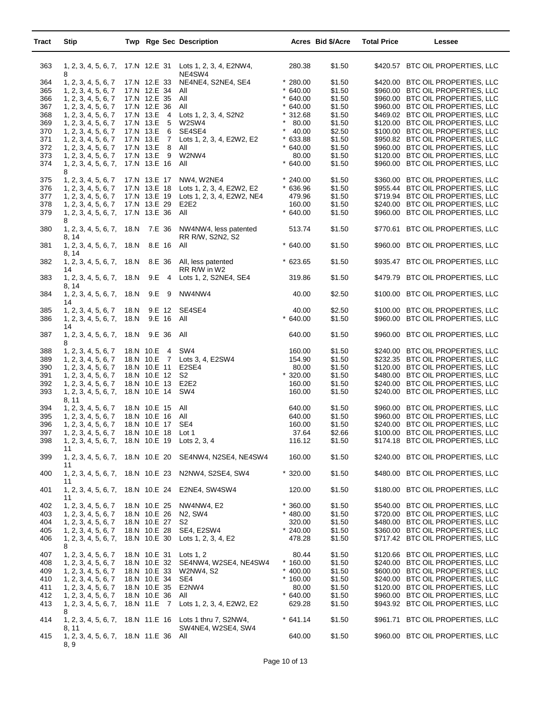| Tract | <b>Stip</b>                                    |      |                             | <b>Twp Rge Sec Description</b>                                                |                  | Acres Bid \$/Acre | <b>Total Price</b> | Lessee                           |
|-------|------------------------------------------------|------|-----------------------------|-------------------------------------------------------------------------------|------------------|-------------------|--------------------|----------------------------------|
| 363   |                                                |      |                             | 1, 2, 3, 4, 5, 6, 7, 17.N 12.E 31 Lots 1, 2, 3, 4, E2NW4,                     | 280.38           | \$1.50            |                    | \$420.57 BTC OIL PROPERTIES, LLC |
|       | 8                                              |      |                             | NE4SW4                                                                        |                  |                   |                    |                                  |
| 364   | 1, 2, 3, 4, 5, 6, 7                            |      | 17.N 12.E 33                | NE4NE4, S2NE4, SE4                                                            | $*280.00$        | \$1.50            |                    | \$420.00 BTC OIL PROPERTIES, LLC |
| 365   | 1, 2, 3, 4, 5, 6, 7                            |      | 17.N 12.E 34                | All                                                                           | $*640.00$        | \$1.50            |                    | \$960.00 BTC OIL PROPERTIES, LLC |
| 366   | 1, 2, 3, 4, 5, 6, 7                            |      | 17.N 12.E 35                | All                                                                           | $*640.00$        | \$1.50            |                    | \$960.00 BTC OIL PROPERTIES, LLC |
| 367   | 1, 2, 3, 4, 5, 6, 7                            |      | 17.N 12.E 36                | All                                                                           | $*640.00$        | \$1.50            |                    | \$960.00 BTC OIL PROPERTIES, LLC |
| 368   | 1, 2, 3, 4, 5, 6, 7                            |      | 17.N 13.E 4                 | Lots 1, 2, 3, 4, S2N2                                                         | $*312.68$        | \$1.50            |                    | \$469.02 BTC OIL PROPERTIES, LLC |
| 369   | 1, 2, 3, 4, 5, 6, 7                            |      | 17.N 13.E<br>5              | W2SW4                                                                         | $\star$<br>80.00 | \$1.50            |                    | \$120.00 BTC OIL PROPERTIES, LLC |
| 370   | 1, 2, 3, 4, 5, 6, 7                            |      | 17.N 13.E<br>6              | SE4SE4                                                                        | * $40.00$        | \$2.50            |                    | \$100.00 BTC OIL PROPERTIES, LLC |
| 371   | 1, 2, 3, 4, 5, 6, 7                            |      | 17.N 13.E<br>$\overline{7}$ | Lots 1, 2, 3, 4, E2W2, E2                                                     | $*633.88$        | \$1.50            |                    | \$950.82 BTC OIL PROPERTIES, LLC |
| 372   | 1, 2, 3, 4, 5, 6, 7                            |      | 17.N 13.E 8                 | All                                                                           | $*640.00$        | \$1.50            |                    | \$960.00 BTC OIL PROPERTIES, LLC |
| 373   | 1, 2, 3, 4, 5, 6, 7                            |      | 17.N 13.E 9                 | W2NW4                                                                         | 80.00            | \$1.50            |                    | \$120.00 BTC OIL PROPERTIES, LLC |
| 374   | 1, 2, 3, 4, 5, 6, 7,<br>8                      |      | 17.N 13.E 16                | All                                                                           | $*640.00$        | \$1.50            |                    | \$960.00 BTC OIL PROPERTIES, LLC |
| 375   | 1, 2, 3, 4, 5, 6, 7                            |      | 17.N 13.E 17                | NW4, W2NE4                                                                    | $*240.00$        | \$1.50            |                    | \$360.00 BTC OIL PROPERTIES, LLC |
| 376   | 1, 2, 3, 4, 5, 6, 7                            |      | 17.N 13.E 18                | Lots 1, 2, 3, 4, E2W2, E2                                                     | $*636.96$        | \$1.50            |                    | \$955.44 BTC OIL PROPERTIES, LLC |
| 377   | 1, 2, 3, 4, 5, 6, 7                            |      | 17.N 13.E 19                | Lots 1, 2, 3, 4, E2W2, NE4                                                    | 479.96           | \$1.50            |                    | \$719.94 BTC OIL PROPERTIES, LLC |
| 378   | 1, 2, 3, 4, 5, 6, 7                            |      | 17.N 13.E 29                | E2E2                                                                          | 160.00           | \$1.50            |                    | \$240.00 BTC OIL PROPERTIES, LLC |
| 379   | 1, 2, 3, 4, 5, 6, 7,                           |      | 17.N 13.E 36                | All                                                                           | $*640.00$        | \$1.50            |                    | \$960.00 BTC OIL PROPERTIES, LLC |
|       | 8                                              |      |                             |                                                                               |                  |                   |                    |                                  |
| 380   | 1, 2, 3, 4, 5, 6, 7,<br>8. 14                  | 18.N | 7.E 36                      | NW4NW4, less patented<br>RR R/W, S2N2, S2                                     | 513.74           | \$1.50            |                    | \$770.61 BTC OIL PROPERTIES, LLC |
| 381   | 1, 2, 3, 4, 5, 6, 7,<br>8, 14                  | 18.N | 8.E 16                      | All                                                                           | $*640.00$        | \$1.50            |                    | \$960.00 BTC OIL PROPERTIES, LLC |
| 382   | 1, 2, 3, 4, 5, 6, 7,<br>14                     | 18.N | 8.E 36                      | All, less patented<br>RR R/W in W2                                            | $*623.65$        | \$1.50            |                    | \$935.47 BTC OIL PROPERTIES, LLC |
| 383   | 1, 2, 3, 4, 5, 6, 7,<br>8, 14                  | 18.N | 9.E<br>$\overline{4}$       | Lots 1, 2, S2NE4, SE4                                                         | 319.86           | \$1.50            |                    | \$479.79 BTC OIL PROPERTIES, LLC |
| 384   | 1, 2, 3, 4, 5, 6, 7,<br>14                     | 18.N | 9.E 9                       | NW4NW4                                                                        | 40.00            | \$2.50            |                    | \$100.00 BTC OIL PROPERTIES, LLC |
| 385   | 1, 2, 3, 4, 5, 6, 7                            | 18.N |                             | 9.E 12 SE4SE4                                                                 | 40.00            | \$2.50            |                    | \$100.00 BTC OIL PROPERTIES, LLC |
| 386   | 1, 2, 3, 4, 5, 6, 7,<br>14                     | 18.N | 9.E 16                      | All                                                                           | $*640.00$        | \$1.50            |                    | \$960.00 BTC OIL PROPERTIES, LLC |
| 387   | 1, 2, 3, 4, 5, 6, 7,<br>8                      | 18.N | 9.E 36                      | All                                                                           | 640.00           | \$1.50            |                    | \$960.00 BTC OIL PROPERTIES, LLC |
| 388   | 1, 2, 3, 4, 5, 6, 7                            |      | 18.N 10.E 4                 | SW4                                                                           | 160.00           | \$1.50            |                    | \$240.00 BTC OIL PROPERTIES, LLC |
| 389   | 1, 2, 3, 4, 5, 6, 7                            |      | 18.N 10.E 7                 | Lots 3, 4, E2SW4                                                              | 154.90           | \$1.50            |                    | \$232.35 BTC OIL PROPERTIES, LLC |
| 390   | 1, 2, 3, 4, 5, 6, 7                            |      | 18.N 10.E 11                | E2SE4                                                                         | 80.00            | \$1.50            |                    | \$120.00 BTC OIL PROPERTIES, LLC |
| 391   | 1, 2, 3, 4, 5, 6, 7                            |      | 18.N 10.E 12                | S2                                                                            | $*320.00$        | \$1.50            |                    | \$480.00 BTC OIL PROPERTIES, LLC |
| 392   | 1, 2, 3, 4, 5, 6, 7                            |      | 18.N 10.E 13                | E2E2                                                                          | 160.00           | \$1.50            |                    | \$240.00 BTC OIL PROPERTIES, LLC |
| 393   | 1, 2, 3, 4, 5, 6, 7,                           |      | 18.N 10.E 14                | SW4                                                                           | 160.00           | \$1.50            |                    | \$240.00 BTC OIL PROPERTIES, LLC |
|       | 8, 11                                          |      |                             |                                                                               |                  |                   |                    |                                  |
| 394   | 1, 2, 3, 4, 5, 6, 7                            |      | 18.N 10.E 15 All            |                                                                               | 640.00           | \$1.50            |                    | \$960.00 BTC OIL PROPERTIES, LLC |
| 395   | 1, 2, 3, 4, 5, 6, 7                            |      | 18.N 10.E 16 All            |                                                                               | 640.00           | \$1.50            |                    | \$960.00 BTC OIL PROPERTIES, LLC |
| 396   | 1, 2, 3, 4, 5, 6, 7                            |      | 18.N 10.E 17 SE4            |                                                                               | 160.00           | \$1.50            |                    | \$240.00 BTC OIL PROPERTIES, LLC |
| 397   | 1, 2, 3, 4, 5, 6, 7 18.N 10.E 18 Lot 1         |      |                             |                                                                               | 37.64            | \$2.66            |                    | \$100.00 BTC OIL PROPERTIES, LLC |
| 398   | 1, 2, 3, 4, 5, 6, 7, 18.N 10.E 19 Lots 2, 3, 4 |      |                             |                                                                               | 116.12           | \$1.50            |                    | \$174.18 BTC OIL PROPERTIES, LLC |
|       | 11                                             |      |                             |                                                                               |                  |                   |                    |                                  |
| 399   | 11                                             |      |                             | 1, 2, 3, 4, 5, 6, 7, 18.N 10.E 20 SE4NW4, N2SE4, NE4SW4                       | 160.00           | \$1.50            |                    | \$240.00 BTC OIL PROPERTIES, LLC |
| 400   | 1, 2, 3, 4, 5, 6, 7,<br>11                     |      |                             | 18.N 10.E 23 N2NW4, S2SE4, SW4                                                | $*320.00$        | \$1.50            |                    | \$480.00 BTC OIL PROPERTIES, LLC |
| 401   | 1, 2, 3, 4, 5, 6, 7,<br>11                     |      |                             | 18.N 10.E 24 E2NE4, SW4SW4                                                    | 120.00           | \$1.50            |                    | \$180.00 BTC OIL PROPERTIES, LLC |
| 402   | 1, 2, 3, 4, 5, 6, 7                            |      | 18.N 10.E 25                | NW4NW4, E2                                                                    | $*360.00$        | \$1.50            |                    | \$540.00 BTC OIL PROPERTIES, LLC |
| 403   | 1, 2, 3, 4, 5, 6, 7                            |      | 18.N 10.E 26                | N2, SW4                                                                       | $*$ 480.00       | \$1.50            |                    | \$720.00 BTC OIL PROPERTIES, LLC |
| 404   | 1, 2, 3, 4, 5, 6, 7                            |      | 18.N 10.E 27                | S2                                                                            | 320.00           | \$1.50            |                    | \$480.00 BTC OIL PROPERTIES, LLC |
| 405   | 1, 2, 3, 4, 5, 6, 7                            |      | 18.N 10.E 28                | SE4, E2SW4                                                                    | $*240.00$        | \$1.50            |                    | \$360.00 BTC OIL PROPERTIES, LLC |
| 406   | 1, 2, 3, 4, 5, 6, 7,<br>8                      |      |                             | 18.N 10.E 30 Lots 1, 2, 3, 4, E2                                              | 478.28           | \$1.50            |                    | \$717.42 BTC OIL PROPERTIES, LLC |
| 407   | 1, 2, 3, 4, 5, 6, 7                            |      | 18.N 10.E 31 Lots 1, 2      |                                                                               | 80.44            | \$1.50            |                    | \$120.66 BTC OIL PROPERTIES, LLC |
| 408   | 1, 2, 3, 4, 5, 6, 7                            |      | 18.N 10.E 32                | SE4NW4, W2SE4, NE4SW4                                                         | $*160.00$        | \$1.50            |                    | \$240.00 BTC OIL PROPERTIES, LLC |
| 409   | 1, 2, 3, 4, 5, 6, 7                            |      | 18.N 10.E 33                | W2NW4, S2                                                                     | $* 400.00$       | \$1.50            |                    | \$600.00 BTC OIL PROPERTIES, LLC |
| 410   | 1, 2, 3, 4, 5, 6, 7                            |      | 18.N 10.E 34                | SE4                                                                           | $*160.00$        | \$1.50            |                    | \$240.00 BTC OIL PROPERTIES, LLC |
| 411   | 1, 2, 3, 4, 5, 6, 7                            |      | 18.N 10.E 35                | E2NW4                                                                         | 80.00            | \$1.50            |                    | \$120.00 BTC OIL PROPERTIES, LLC |
| 412   |                                                |      | 18.N 10.E 36                | All                                                                           | $*640.00$        | \$1.50            |                    | \$960.00 BTC OIL PROPERTIES, LLC |
| 413   | 1, 2, 3, 4, 5, 6, 7                            |      | 18.N 11.E 7                 | Lots 1, 2, 3, 4, E2W2, E2                                                     | 629.28           | \$1.50            |                    | \$943.92 BTC OIL PROPERTIES, LLC |
|       | 1, 2, 3, 4, 5, 6, 7,<br>8                      |      |                             |                                                                               |                  |                   |                    |                                  |
| 414   | 8. 11                                          |      |                             | 1, 2, 3, 4, 5, 6, 7, 18.N 11.E 16 Lots 1 thru 7, S2NW4,<br>SW4NE4, W2SE4, SW4 | $*641.14$        | \$1.50            |                    | \$961.71 BTC OIL PROPERTIES, LLC |
| 415   | 1, 2, 3, 4, 5, 6, 7, 18.N 11.E 36 All<br>8, 9  |      |                             |                                                                               | 640.00           | \$1.50            |                    | \$960.00 BTC OIL PROPERTIES, LLC |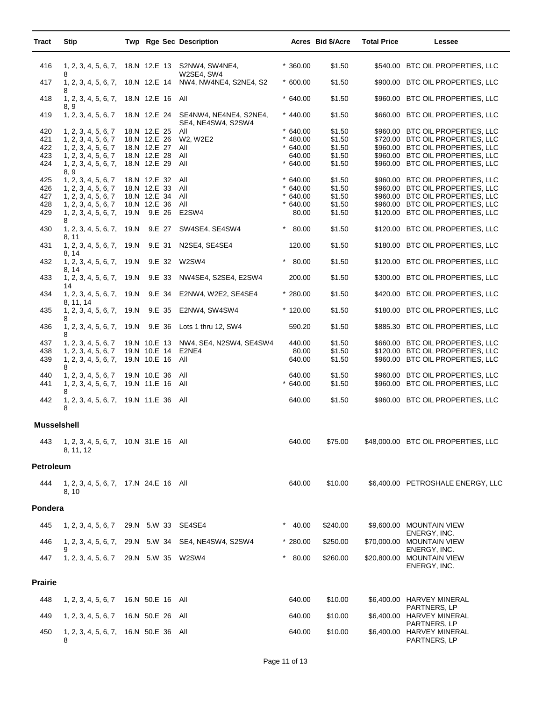| Tract              | <b>Stip</b>                                                             |                                                        | Twp Rge Sec Description                                                |                                     | Acres Bid \$/Acre          | <b>Total Price</b> | Lessee                                                                                                   |
|--------------------|-------------------------------------------------------------------------|--------------------------------------------------------|------------------------------------------------------------------------|-------------------------------------|----------------------------|--------------------|----------------------------------------------------------------------------------------------------------|
| 416                |                                                                         |                                                        | 1, 2, 3, 4, 5, 6, 7, 18.N 12.E 13 S2NW4, SW4NE4,                       | $*360.00$                           | \$1.50                     |                    | \$540.00 BTC OIL PROPERTIES, LLC                                                                         |
| 417                | 8                                                                       |                                                        | W2SE4, SW4<br>1, 2, 3, 4, 5, 6, 7, 18.N 12.E 14 NW4, NW4NE4, S2NE4, S2 | $*600.00$                           | \$1.50                     |                    | \$900.00 BTC OIL PROPERTIES, LLC                                                                         |
| 418                | 8<br>1, 2, 3, 4, 5, 6, 7, 18.N 12.E 16 All                              |                                                        |                                                                        | $*640.00$                           | \$1.50                     |                    | \$960.00 BTC OIL PROPERTIES, LLC                                                                         |
| 419                | 8, 9<br>1, 2, 3, 4, 5, 6, 7                                             |                                                        | 18.N 12.E 24 SE4NW4, NE4NE4, S2NE4,<br>SE4, NE4SW4, S2SW4              | $* 440.00$                          | \$1.50                     |                    | \$660.00 BTC OIL PROPERTIES, LLC                                                                         |
| 420<br>421<br>422  | 1, 2, 3, 4, 5, 6, 7<br>1, 2, 3, 4, 5, 6, 7<br>1, 2, 3, 4, 5, 6, 7       | 18.N 12.E 25<br>18.N 12.E 26<br>18.N 12.E 27           | All<br>W2, W2E2<br>All                                                 | $*640.00$<br>$*480.00$<br>$*640.00$ | \$1.50<br>\$1.50<br>\$1.50 |                    | \$960.00 BTC OIL PROPERTIES, LLC<br>\$720.00 BTC OIL PROPERTIES, LLC<br>\$960.00 BTC OIL PROPERTIES, LLC |
| 423<br>424         | 1, 2, 3, 4, 5, 6, 7<br>1, 2, 3, 4, 5, 6, 7,<br>8, 9                     | 18.N 12.E 28<br>18.N 12.E 29                           | All<br>All                                                             | 640.00<br>$*640.00$                 | \$1.50<br>\$1.50           |                    | \$960.00 BTC OIL PROPERTIES, LLC<br>\$960.00 BTC OIL PROPERTIES, LLC                                     |
| 425<br>426         | 1, 2, 3, 4, 5, 6, 7<br>1, 2, 3, 4, 5, 6, 7                              | 18.N 12.E 32<br>18.N 12.E 33                           | All<br>All<br>All                                                      | $*640.00$<br>$*640.00$<br>$*640.00$ | \$1.50<br>\$1.50<br>\$1.50 |                    | \$960.00 BTC OIL PROPERTIES, LLC<br>\$960.00 BTC OIL PROPERTIES, LLC<br>\$960.00 BTC OIL PROPERTIES, LLC |
| 427<br>428<br>429  | 1, 2, 3, 4, 5, 6, 7<br>1, 2, 3, 4, 5, 6, 7<br>1, 2, 3, 4, 5, 6, 7,      | 18.N 12.E 34<br>18.N 12.E 36<br>19.N 9.E 26            | All<br>E2SW4                                                           | $*640.00$<br>80.00                  | \$1.50<br>\$1.50           |                    | \$960.00 BTC OIL PROPERTIES, LLC<br>\$120.00 BTC OIL PROPERTIES, LLC                                     |
| 430                | 8<br>1, 2, 3, 4, 5, 6, 7, 19. N                                         | 9.E 27                                                 | SW4SE4, SE4SW4                                                         | $* 80.00$                           | \$1.50                     |                    | \$120.00 BTC OIL PROPERTIES, LLC                                                                         |
| 431                | 8, 11<br>1, 2, 3, 4, 5, 6, 7, 19. N<br>8. 14                            | 9.E 31                                                 | N2SE4, SE4SE4                                                          | 120.00                              | \$1.50                     |                    | \$180.00 BTC OIL PROPERTIES, LLC                                                                         |
| 432                | 1, 2, 3, 4, 5, 6, 7, 19. N<br>8, 14                                     | 9.E 32                                                 | W2SW4                                                                  | 80.00                               | \$1.50                     |                    | \$120.00 BTC OIL PROPERTIES, LLC                                                                         |
| 433                | 1, 2, 3, 4, 5, 6, 7, 19. N<br>14                                        | 9.E 33                                                 | NW4SE4, S2SE4, E2SW4                                                   | 200.00                              | \$1.50                     |                    | \$300.00 BTC OIL PROPERTIES, LLC                                                                         |
| 434                | 1, 2, 3, 4, 5, 6, 7, 19. N<br>8, 11, 14                                 | 9.E 34                                                 | E2NW4, W2E2, SE4SE4                                                    | $*280.00$                           | \$1.50                     |                    | \$420.00 BTC OIL PROPERTIES, LLC                                                                         |
| 435                | 1, 2, 3, 4, 5, 6, 7, 19. N                                              | 9.E 35                                                 | E2NW4, SW4SW4                                                          | $*120.00$                           | \$1.50                     |                    | \$180.00 BTC OIL PROPERTIES, LLC                                                                         |
| 436                | 1, 2, 3, 4, 5, 6, 7, 19.N<br>8                                          | 9.E 36                                                 | Lots 1 thru 12, SW4                                                    | 590.20                              | \$1.50                     |                    | \$885.30 BTC OIL PROPERTIES, LLC                                                                         |
| 437<br>438<br>439  | 1, 2, 3, 4, 5, 6, 7<br>1, 2, 3, 4, 5, 6, 7<br>1, 2, 3, 4, 5, 6, 7,<br>8 | 19.N 10.E 13<br>19.N 10.E 14 E2NE4<br>19.N 10.E 16 All | NW4, SE4, N2SW4, SE4SW4                                                | 440.00<br>80.00<br>640.00           | \$1.50<br>\$1.50<br>\$1.50 |                    | \$660.00 BTC OIL PROPERTIES, LLC<br>\$120.00 BTC OIL PROPERTIES, LLC<br>\$960.00 BTC OIL PROPERTIES, LLC |
| 440<br>441         | 1, 2, 3, 4, 5, 6, 7<br>1, 2, 3, 4, 5, 6, 7, 19.N 11.E 16<br>8           | 19.N 10.E 36                                           | All<br>All                                                             | 640.00<br>$*640.00$                 | \$1.50<br>\$1.50           |                    | \$960.00 BTC OIL PROPERTIES, LLC<br>\$960.00 BTC OIL PROPERTIES, LLC                                     |
| 442                | 1, 2, 3, 4, 5, 6, 7, 19.N 11.E 36 All<br>8                              |                                                        |                                                                        | 640.00                              | \$1.50                     |                    | \$960.00 BTC OIL PROPERTIES, LLC                                                                         |
| <b>Musselshell</b> |                                                                         |                                                        |                                                                        |                                     |                            |                    |                                                                                                          |
| 443                | 1, 2, 3, 4, 5, 6, 7, 10.N 31.E 16 All<br>8, 11, 12                      |                                                        |                                                                        | 640.00                              | \$75.00                    |                    | \$48,000.00 BTC OIL PROPERTIES, LLC                                                                      |
| <b>Petroleum</b>   |                                                                         |                                                        |                                                                        |                                     |                            |                    |                                                                                                          |
| 444                | 1, 2, 3, 4, 5, 6, 7, 17.N 24.E 16 All<br>8, 10                          |                                                        |                                                                        | 640.00                              | \$10.00                    |                    | \$6,400.00 PETROSHALE ENERGY, LLC                                                                        |
| Pondera            |                                                                         |                                                        |                                                                        |                                     |                            |                    |                                                                                                          |
| 445                | 1, 2, 3, 4, 5, 6, 7 29. N 5. W 33 SE4SE4                                |                                                        |                                                                        | * $40.00$                           | \$240.00                   |                    | \$9,600.00 MOUNTAIN VIEW<br>ENERGY, INC.                                                                 |
| 446                | 9                                                                       |                                                        | 1, 2, 3, 4, 5, 6, 7, 29. N 5. W 34 SE4, NE4SW4, S2SW4                  | $*280.00$                           | \$250.00                   |                    | \$70,000.00 MOUNTAIN VIEW<br>ENERGY, INC.                                                                |
| 447                | 1, 2, 3, 4, 5, 6, 7 29.N 5.W 35 W2SW4                                   |                                                        |                                                                        | $* 80.00$                           | \$260.00                   |                    | \$20,800.00 MOUNTAIN VIEW<br>ENERGY, INC.                                                                |
| <b>Prairie</b>     |                                                                         |                                                        |                                                                        |                                     |                            |                    |                                                                                                          |
| 448                | 1, 2, 3, 4, 5, 6, 7 16.N 50.E 16 All                                    |                                                        |                                                                        | 640.00                              | \$10.00                    |                    | \$6,400.00 HARVEY MINERAL                                                                                |
| 449                | 1, 2, 3, 4, 5, 6, 7 16.N 50.E 26 All                                    |                                                        |                                                                        | 640.00                              | \$10.00                    |                    | PARTNERS, LP<br>\$6,400.00 HARVEY MINERAL<br>PARTNERS, LP                                                |
| 450                | 1, 2, 3, 4, 5, 6, 7, 16.N 50.E 36 All<br>8                              |                                                        |                                                                        | 640.00                              | \$10.00                    |                    | \$6,400.00 HARVEY MINERAL<br>PARTNERS, LP                                                                |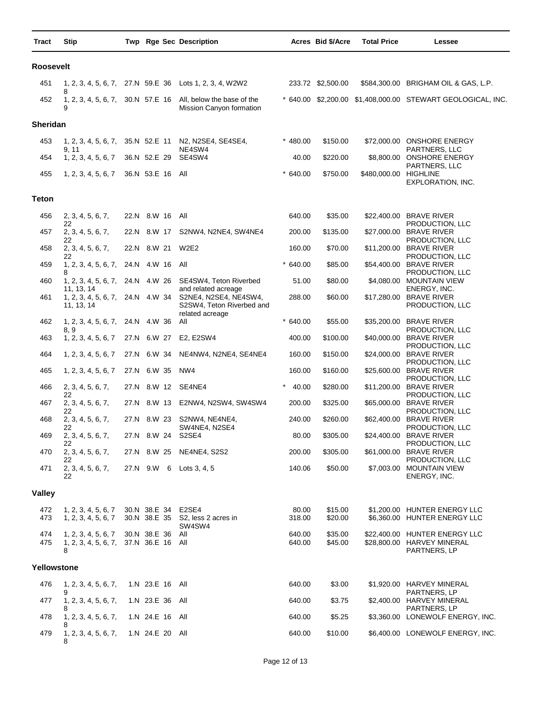| Tract       | <b>Stip</b>                                                  |      |                                  | Twp Rge Sec Description                                                   |                  | Acres Bid \$/Acre  | <b>Total Price</b>    | <b>Lessee</b>                                                               |
|-------------|--------------------------------------------------------------|------|----------------------------------|---------------------------------------------------------------------------|------------------|--------------------|-----------------------|-----------------------------------------------------------------------------|
| Roosevelt   |                                                              |      |                                  |                                                                           |                  |                    |                       |                                                                             |
| 451         | 8                                                            |      |                                  | 1, 2, 3, 4, 5, 6, 7, 27.N 59.E 36 Lots 1, 2, 3, 4, W2W2                   |                  | 233.72 \$2,500.00  |                       | \$584,300.00 BRIGHAM OIL & GAS, L.P.                                        |
| 452         | 1, 2, 3, 4, 5, 6, 7,<br>9                                    |      |                                  | 30.N 57.E 16 All, below the base of the<br>Mission Canyon formation       |                  |                    |                       | * 640.00 \$2,200.00 \$1,408,000.00 STEWART GEOLOGICAL, INC.                 |
| Sheridan    |                                                              |      |                                  |                                                                           |                  |                    |                       |                                                                             |
| 453         | 1, 2, 3, 4, 5, 6, 7,<br>9, 11                                |      | 35.N 52.E 11                     | N2, N2SE4, SE4SE4,<br>NE4SW4                                              | $* 480.00$       | \$150.00           |                       | \$72,000.00 ONSHORE ENERGY<br>PARTNERS, LLC                                 |
| 454         | 1, 2, 3, 4, 5, 6, 7                                          |      | 36.N 52.E 29                     | SE4SW4                                                                    | 40.00            | \$220.00           |                       | \$8,800.00 ONSHORE ENERGY<br>PARTNERS, LLC                                  |
| 455         | 1, 2, 3, 4, 5, 6, 7                                          |      | 36.N 53.E 16 All                 |                                                                           | 640.00           | \$750.00           | \$480,000.00 HIGHLINE | EXPLORATION, INC.                                                           |
| Teton       |                                                              |      |                                  |                                                                           |                  |                    |                       |                                                                             |
| 456         | 2, 3, 4, 5, 6, 7,                                            |      | 22.N 8.W 16 All                  |                                                                           | 640.00           | \$35.00            |                       | \$22,400.00 BRAVE RIVER                                                     |
| 457         | 22<br>2, 3, 4, 5, 6, 7,                                      |      | 22.N 8.W 17                      | S2NW4, N2NE4, SW4NE4                                                      | 200.00           | \$135.00           |                       | PRODUCTION, LLC<br>\$27,000.00 BRAVE RIVER                                  |
| 458         | 22<br>2, 3, 4, 5, 6, 7,                                      |      | 22.N 8.W 21                      | <b>W2E2</b>                                                               | 160.00           | \$70.00            |                       | PRODUCTION, LLC<br>\$11,200.00 BRAVE RIVER                                  |
| 459         | 22<br>1, 2, 3, 4, 5, 6, 7,                                   |      | 24.N 4.W 16 All                  |                                                                           | 640.00           | \$85.00            |                       | PRODUCTION, LLC<br>\$54,400.00 BRAVE RIVER                                  |
| 460         | 8                                                            |      |                                  | 1, 2, 3, 4, 5, 6, 7, 24.N 4.W 26 SE4SW4, Teton Riverbed                   | 51.00            | \$80.00            |                       | PRODUCTION, LLC<br>\$4,080.00 MOUNTAIN VIEW                                 |
| 461         | 11, 13, 14<br>1, 2, 3, 4, 5, 6, 7, 24.N 4.W 34<br>11, 13, 14 |      |                                  | and related acreage<br>S2NE4, N2SE4, NE4SW4,<br>S2SW4, Teton Riverbed and | 288.00           | \$60.00            |                       | ENERGY, INC.<br>\$17,280.00 BRAVE RIVER<br>PRODUCTION, LLC                  |
| 462         | 1, 2, 3, 4, 5, 6, 7,                                         | 24.N | 4.W 36                           | related acreage<br>All                                                    | 640.00           | \$55.00            |                       | \$35,200.00 BRAVE RIVER                                                     |
| 463         | 8, 9<br>1, 2, 3, 4, 5, 6, 7                                  |      | 27.N 6.W 27                      | E2, E2SW4                                                                 | 400.00           | \$100.00           |                       | PRODUCTION, LLC<br>\$40,000.00 BRAVE RIVER                                  |
| 464         | 1, 2, 3, 4, 5, 6, 7                                          |      | 27.N 6.W 34                      | NE4NW4, N2NE4, SE4NE4                                                     | 160.00           | \$150.00           |                       | PRODUCTION, LLC<br>\$24,000.00 BRAVE RIVER<br>PRODUCTION, LLC               |
| 465         | 1, 2, 3, 4, 5, 6, 7                                          |      | 27.N 6.W 35                      | NW4                                                                       | 160.00           | \$160.00           |                       | \$25,600.00 BRAVE RIVER<br>PRODUCTION, LLC                                  |
| 466         | 2, 3, 4, 5, 6, 7,<br>22                                      |      |                                  | 27.N 8.W 12 SE4NE4                                                        | 40.00            | \$280.00           |                       | \$11,200.00 BRAVE RIVER<br>PRODUCTION, LLC                                  |
| 467         | 2, 3, 4, 5, 6, 7,<br>22                                      |      |                                  | 27.N 8.W 13 E2NW4, N2SW4, SW4SW4                                          | 200.00           | \$325.00           |                       | \$65,000.00 BRAVE RIVER<br>PRODUCTION, LLC                                  |
| 468         | 2, 3, 4, 5, 6, 7,<br>22                                      |      | 27.N 8.W 23                      | S2NW4, NE4NE4,<br>SW4NE4, N2SE4                                           | 240.00           | \$260.00           |                       | \$62,400.00 BRAVE RIVER<br>PRODUCTION, LLC                                  |
| 469         | 2, 3, 4, 5, 6, 7,<br>22                                      |      |                                  | 27.N 8.W 24 S2SE4                                                         | 80.00            | \$305.00           |                       | \$24,400.00 BRAVE RIVER<br>PRODUCTION, LLC                                  |
| 470         | 2, 3, 4, 5, 6, 7,<br>22                                      |      | 27.N 8.W 25                      | <b>NE4NE4, S2S2</b>                                                       | 200.00           | \$305.00           |                       | \$61,000.00 BRAVE RIVER<br>PRODUCTION, LLC                                  |
| 471         | 2, 3, 4, 5, 6, 7,<br>22                                      |      |                                  | 27.N 9.W 6 Lots 3, 4, 5                                                   | 140.06           | \$50.00            |                       | \$7,003.00 MOUNTAIN VIEW<br>ENERGY, INC.                                    |
| Valley      |                                                              |      |                                  |                                                                           |                  |                    |                       |                                                                             |
| 472<br>473  | 1, 2, 3, 4, 5, 6, 7<br>1, 2, 3, 4, 5, 6, 7                   |      | 30.N 38.E 34                     | E2SE4<br>30.N 38.E 35 S2, less 2 acres in<br>SW4SW4                       | 80.00<br>318.00  | \$15.00<br>\$20.00 |                       | \$1,200.00 HUNTER ENERGY LLC<br>\$6,360.00 HUNTER ENERGY LLC                |
| 474<br>475  | 1, 2, 3, 4, 5, 6, 7<br>1, 2, 3, 4, 5, 6, 7,<br>8             |      | 30.N 38.E 36<br>37.N 36.E 16 All | All                                                                       | 640.00<br>640.00 | \$35.00<br>\$45.00 |                       | \$22,400.00 HUNTER ENERGY LLC<br>\$28,800.00 HARVEY MINERAL<br>PARTNERS, LP |
| Yellowstone |                                                              |      |                                  |                                                                           |                  |                    |                       |                                                                             |
| 476         | 1, 2, 3, 4, 5, 6, 7,                                         |      | 1.N 23.E 16 All                  |                                                                           | 640.00           | \$3.00             |                       | \$1,920.00 HARVEY MINERAL                                                   |
| 477         | 9<br>1, 2, 3, 4, 5, 6, 7,                                    |      | 1.N 23.E 36                      | All                                                                       | 640.00           | \$3.75             |                       | PARTNERS, LP<br>\$2,400.00 HARVEY MINERAL                                   |
| 478         | 8<br>1, 2, 3, 4, 5, 6, 7,                                    |      | 1.N 24.E 16 All                  |                                                                           | 640.00           | \$5.25             |                       | PARTNERS, LP<br>\$3,360.00 LONEWOLF ENERGY, INC.                            |
| 479         | 8<br>1, 2, 3, 4, 5, 6, 7,<br>8                               |      | 1.N 24.E 20 All                  |                                                                           | 640.00           | \$10.00            |                       | \$6,400.00 LONEWOLF ENERGY, INC.                                            |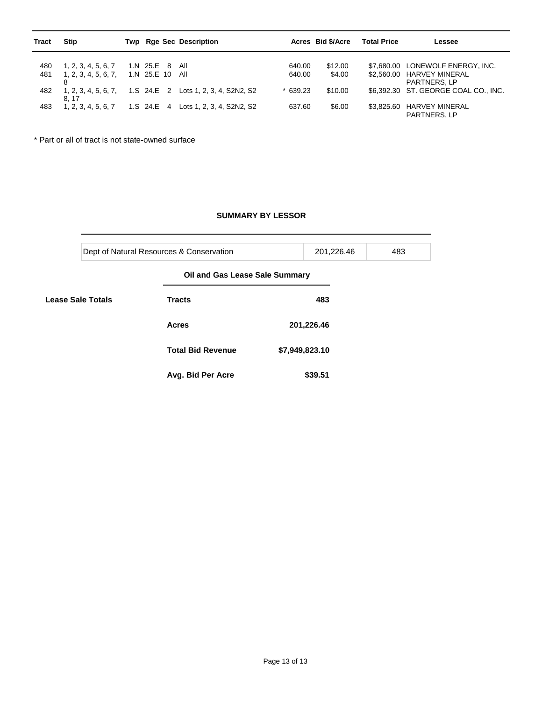| <b>Tract</b> | Stip                 |            |                 | Twp Rge Sec Description              |           | Acres Bid \$/Acre | <b>Total Price</b> | Lessee                               |
|--------------|----------------------|------------|-----------------|--------------------------------------|-----------|-------------------|--------------------|--------------------------------------|
|              |                      |            |                 |                                      |           |                   |                    |                                      |
| 480          | 1, 2, 3, 4, 5, 6, 7  | 1.N 25.E 8 |                 | All                                  | 640.00    | \$12.00           |                    | \$7,680.00 LONEWOLF ENERGY, INC.     |
| 481          | 1, 2, 3, 4, 5, 6, 7, |            | 1.N 25.E 10 All |                                      | 640.00    | \$4.00            |                    | \$2,560.00 HARVEY MINERAL            |
|              |                      |            |                 |                                      |           |                   |                    | PARTNERS, LP                         |
| 482          | 1, 2, 3, 4, 5, 6, 7, |            |                 | 1.S 24.E 2 Lots 1, 2, 3, 4, S2N2, S2 | $*639.23$ | \$10.00           |                    | \$6.392.30 ST, GEORGE COAL CO., INC. |
|              | 8.17                 |            |                 |                                      |           |                   |                    |                                      |
| 483          | 1, 2, 3, 4, 5, 6, 7  |            |                 | 1.S 24.E 4 Lots 1, 2, 3, 4, S2N2, S2 | 637.60    | \$6.00            | \$3.825.60         | <b>HARVEY MINERAL</b>                |
|              |                      |            |                 |                                      |           |                   |                    | PARTNERS, LP                         |

\* Part or all of tract is not state-owned surface

## **SUMMARY BY LESSOR**

|                          | Dept of Natural Resources & Conservation |                                |                | 201,226.46 | 483 |  |  |  |  |
|--------------------------|------------------------------------------|--------------------------------|----------------|------------|-----|--|--|--|--|
| <b>Lease Sale Totals</b> |                                          | Oil and Gas Lease Sale Summary |                |            |     |  |  |  |  |
|                          |                                          | <b>Tracts</b>                  |                | 483        |     |  |  |  |  |
|                          |                                          | <b>Acres</b>                   | 201,226.46     |            |     |  |  |  |  |
|                          |                                          | <b>Total Bid Revenue</b>       | \$7,949,823.10 |            |     |  |  |  |  |
|                          |                                          | Avg. Bid Per Acre              |                | \$39.51    |     |  |  |  |  |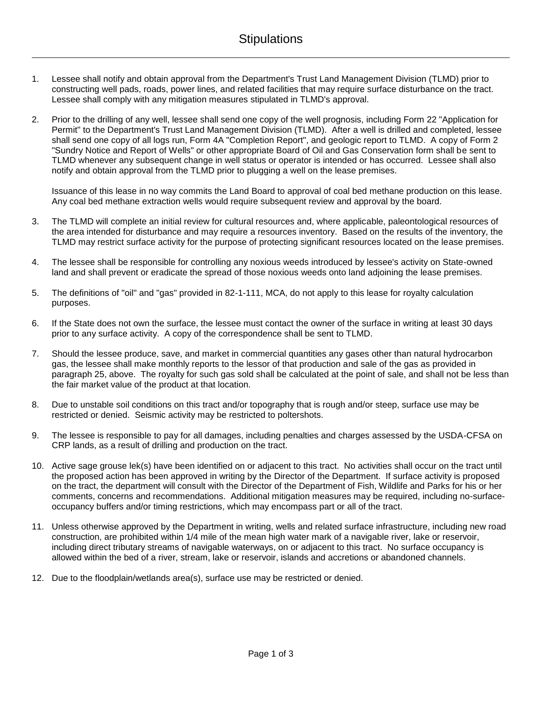- 1. Lessee shall notify and obtain approval from the Department's Trust Land Management Division (TLMD) prior to constructing well pads, roads, power lines, and related facilities that may require surface disturbance on the tract. Lessee shall comply with any mitigation measures stipulated in TLMD's approval.
- 2. Prior to the drilling of any well, lessee shall send one copy of the well prognosis, including Form 22 "Application for Permit" to the Department's Trust Land Management Division (TLMD). After a well is drilled and completed, lessee shall send one copy of all logs run, Form 4A "Completion Report", and geologic report to TLMD. A copy of Form 2 "Sundry Notice and Report of Wells" or other appropriate Board of Oil and Gas Conservation form shall be sent to TLMD whenever any subsequent change in well status or operator is intended or has occurred. Lessee shall also notify and obtain approval from the TLMD prior to plugging a well on the lease premises.

Issuance of this lease in no way commits the Land Board to approval of coal bed methane production on this lease. Any coal bed methane extraction wells would require subsequent review and approval by the board.

- 3. The TLMD will complete an initial review for cultural resources and, where applicable, paleontological resources of the area intended for disturbance and may require a resources inventory. Based on the results of the inventory, the TLMD may restrict surface activity for the purpose of protecting significant resources located on the lease premises.
- 4. The lessee shall be responsible for controlling any noxious weeds introduced by lessee's activity on State-owned land and shall prevent or eradicate the spread of those noxious weeds onto land adjoining the lease premises.
- 5. The definitions of "oil" and "gas" provided in 82-1-111, MCA, do not apply to this lease for royalty calculation purposes.
- 6. If the State does not own the surface, the lessee must contact the owner of the surface in writing at least 30 days prior to any surface activity. A copy of the correspondence shall be sent to TLMD.
- 7. Should the lessee produce, save, and market in commercial quantities any gases other than natural hydrocarbon gas, the lessee shall make monthly reports to the lessor of that production and sale of the gas as provided in paragraph 25, above. The royalty for such gas sold shall be calculated at the point of sale, and shall not be less than the fair market value of the product at that location.
- 8. Due to unstable soil conditions on this tract and/or topography that is rough and/or steep, surface use may be restricted or denied. Seismic activity may be restricted to poltershots.
- 9. The lessee is responsible to pay for all damages, including penalties and charges assessed by the USDA-CFSA on CRP lands, as a result of drilling and production on the tract.
- 10. Active sage grouse lek(s) have been identified on or adjacent to this tract. No activities shall occur on the tract until the proposed action has been approved in writing by the Director of the Department. If surface activity is proposed on the tract, the department will consult with the Director of the Department of Fish, Wildlife and Parks for his or her comments, concerns and recommendations. Additional mitigation measures may be required, including no-surfaceoccupancy buffers and/or timing restrictions, which may encompass part or all of the tract.
- 11. Unless otherwise approved by the Department in writing, wells and related surface infrastructure, including new road construction, are prohibited within 1/4 mile of the mean high water mark of a navigable river, lake or reservoir, including direct tributary streams of navigable waterways, on or adjacent to this tract. No surface occupancy is allowed within the bed of a river, stream, lake or reservoir, islands and accretions or abandoned channels.
- 12. Due to the floodplain/wetlands area(s), surface use may be restricted or denied.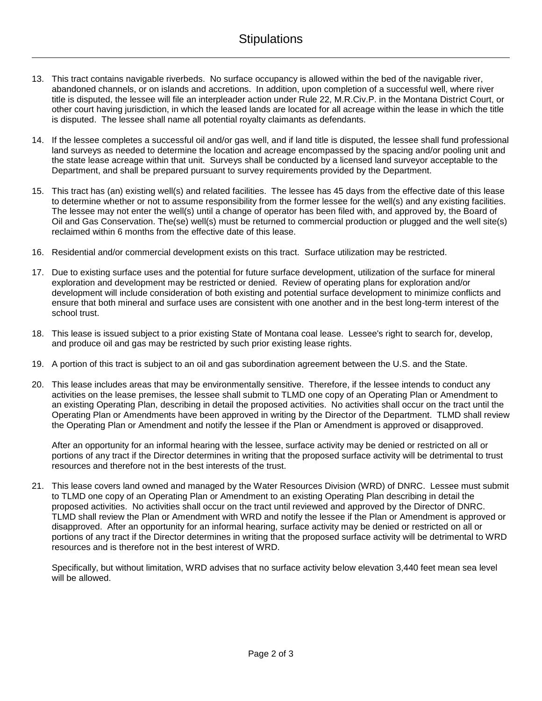- 13. This tract contains navigable riverbeds. No surface occupancy is allowed within the bed of the navigable river, abandoned channels, or on islands and accretions. In addition, upon completion of a successful well, where river title is disputed, the lessee will file an interpleader action under Rule 22, M.R.Civ.P. in the Montana District Court, or other court having jurisdiction, in which the leased lands are located for all acreage within the lease in which the title is disputed. The lessee shall name all potential royalty claimants as defendants.
- 14. If the lessee completes a successful oil and/or gas well, and if land title is disputed, the lessee shall fund professional land surveys as needed to determine the location and acreage encompassed by the spacing and/or pooling unit and the state lease acreage within that unit. Surveys shall be conducted by a licensed land surveyor acceptable to the Department, and shall be prepared pursuant to survey requirements provided by the Department.
- 15. This tract has (an) existing well(s) and related facilities. The lessee has 45 days from the effective date of this lease to determine whether or not to assume responsibility from the former lessee for the well(s) and any existing facilities. The lessee may not enter the well(s) until a change of operator has been filed with, and approved by, the Board of Oil and Gas Conservation. The(se) well(s) must be returned to commercial production or plugged and the well site(s) reclaimed within 6 months from the effective date of this lease.
- 16. Residential and/or commercial development exists on this tract. Surface utilization may be restricted.
- 17. Due to existing surface uses and the potential for future surface development, utilization of the surface for mineral exploration and development may be restricted or denied. Review of operating plans for exploration and/or development will include consideration of both existing and potential surface development to minimize conflicts and ensure that both mineral and surface uses are consistent with one another and in the best long-term interest of the school trust.
- 18. This lease is issued subject to a prior existing State of Montana coal lease. Lessee's right to search for, develop, and produce oil and gas may be restricted by such prior existing lease rights.
- 19. A portion of this tract is subject to an oil and gas subordination agreement between the U.S. and the State.
- 20. This lease includes areas that may be environmentally sensitive. Therefore, if the lessee intends to conduct any activities on the lease premises, the lessee shall submit to TLMD one copy of an Operating Plan or Amendment to an existing Operating Plan, describing in detail the proposed activities. No activities shall occur on the tract until the Operating Plan or Amendments have been approved in writing by the Director of the Department. TLMD shall review the Operating Plan or Amendment and notify the lessee if the Plan or Amendment is approved or disapproved.

After an opportunity for an informal hearing with the lessee, surface activity may be denied or restricted on all or portions of any tract if the Director determines in writing that the proposed surface activity will be detrimental to trust resources and therefore not in the best interests of the trust.

21. This lease covers land owned and managed by the Water Resources Division (WRD) of DNRC. Lessee must submit to TLMD one copy of an Operating Plan or Amendment to an existing Operating Plan describing in detail the proposed activities. No activities shall occur on the tract until reviewed and approved by the Director of DNRC. TLMD shall review the Plan or Amendment with WRD and notify the lessee if the Plan or Amendment is approved or disapproved. After an opportunity for an informal hearing, surface activity may be denied or restricted on all or portions of any tract if the Director determines in writing that the proposed surface activity will be detrimental to WRD resources and is therefore not in the best interest of WRD.

Specifically, but without limitation, WRD advises that no surface activity below elevation 3,440 feet mean sea level will be allowed.